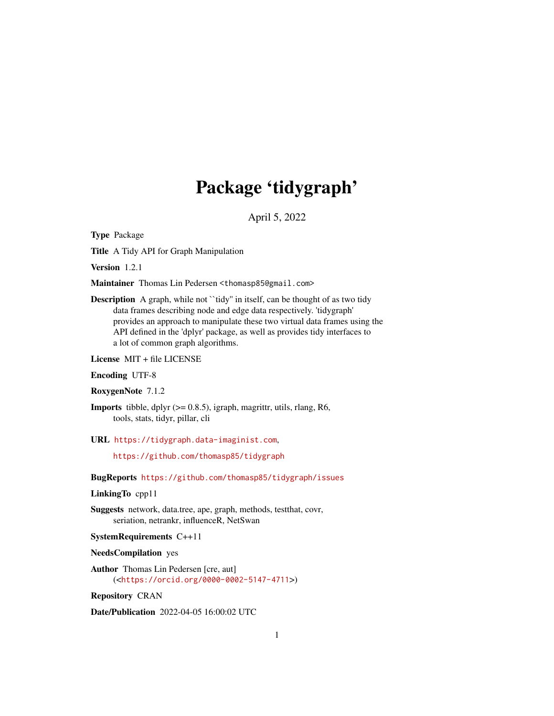# Package 'tidygraph'

April 5, 2022

<span id="page-0-0"></span>Type Package

Title A Tidy API for Graph Manipulation

Version 1.2.1

Maintainer Thomas Lin Pedersen <thomasp85@gmail.com>

Description A graph, while not "tidy" in itself, can be thought of as two tidy data frames describing node and edge data respectively. 'tidygraph' provides an approach to manipulate these two virtual data frames using the API defined in the 'dplyr' package, as well as provides tidy interfaces to a lot of common graph algorithms.

License MIT + file LICENSE

#### Encoding UTF-8

RoxygenNote 7.1.2

**Imports** tibble, dplyr  $(>= 0.8.5)$ , igraph, magrittr, utils, rlang, R6, tools, stats, tidyr, pillar, cli

URL <https://tidygraph.data-imaginist.com>,

<https://github.com/thomasp85/tidygraph>

BugReports <https://github.com/thomasp85/tidygraph/issues>

# LinkingTo cpp11

Suggests network, data.tree, ape, graph, methods, testthat, covr, seriation, netrankr, influenceR, NetSwan

SystemRequirements C++11

NeedsCompilation yes

Author Thomas Lin Pedersen [cre, aut] (<<https://orcid.org/0000-0002-5147-4711>>)

Repository CRAN

Date/Publication 2022-04-05 16:00:02 UTC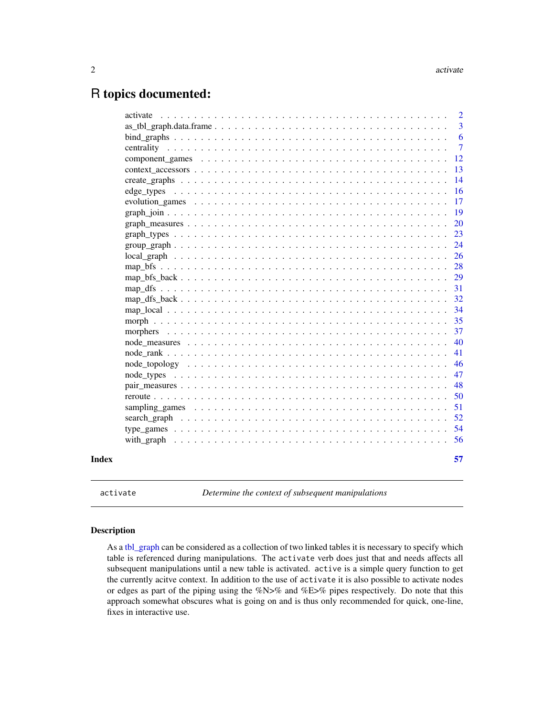# <span id="page-1-0"></span>R topics documented:

|  |  |  |  |  |  |  |  |  |  | $\overline{2}$ |
|--|--|--|--|--|--|--|--|--|--|----------------|
|  |  |  |  |  |  |  |  |  |  | 3              |
|  |  |  |  |  |  |  |  |  |  | 6              |
|  |  |  |  |  |  |  |  |  |  | $\overline{7}$ |
|  |  |  |  |  |  |  |  |  |  | 12             |
|  |  |  |  |  |  |  |  |  |  | 13             |
|  |  |  |  |  |  |  |  |  |  | 14             |
|  |  |  |  |  |  |  |  |  |  | 16             |
|  |  |  |  |  |  |  |  |  |  | 17             |
|  |  |  |  |  |  |  |  |  |  | 19             |
|  |  |  |  |  |  |  |  |  |  | <b>20</b>      |
|  |  |  |  |  |  |  |  |  |  | 23             |
|  |  |  |  |  |  |  |  |  |  | 24             |
|  |  |  |  |  |  |  |  |  |  | 26             |
|  |  |  |  |  |  |  |  |  |  | 28             |
|  |  |  |  |  |  |  |  |  |  | 29             |
|  |  |  |  |  |  |  |  |  |  | 31             |
|  |  |  |  |  |  |  |  |  |  | 32             |
|  |  |  |  |  |  |  |  |  |  | 34             |
|  |  |  |  |  |  |  |  |  |  | 35             |
|  |  |  |  |  |  |  |  |  |  | 37             |
|  |  |  |  |  |  |  |  |  |  | 40             |
|  |  |  |  |  |  |  |  |  |  | 41             |
|  |  |  |  |  |  |  |  |  |  | 46             |
|  |  |  |  |  |  |  |  |  |  | 47             |
|  |  |  |  |  |  |  |  |  |  | 48             |
|  |  |  |  |  |  |  |  |  |  | 50             |
|  |  |  |  |  |  |  |  |  |  | 51             |
|  |  |  |  |  |  |  |  |  |  | 52             |
|  |  |  |  |  |  |  |  |  |  | 54             |
|  |  |  |  |  |  |  |  |  |  | 56             |
|  |  |  |  |  |  |  |  |  |  | 57             |
|  |  |  |  |  |  |  |  |  |  |                |

<span id="page-1-1"></span>activate *Determine the context of subsequent manipulations*

# Description

As a [tbl\\_graph](#page-2-1) can be considered as a collection of two linked tables it is necessary to specify which table is referenced during manipulations. The activate verb does just that and needs affects all subsequent manipulations until a new table is activated. active is a simple query function to get the currently acitve context. In addition to the use of activate it is also possible to activate nodes or edges as part of the piping using the %N>% and %E>% pipes respectively. Do note that this approach somewhat obscures what is going on and is thus only recommended for quick, one-line, fixes in interactive use.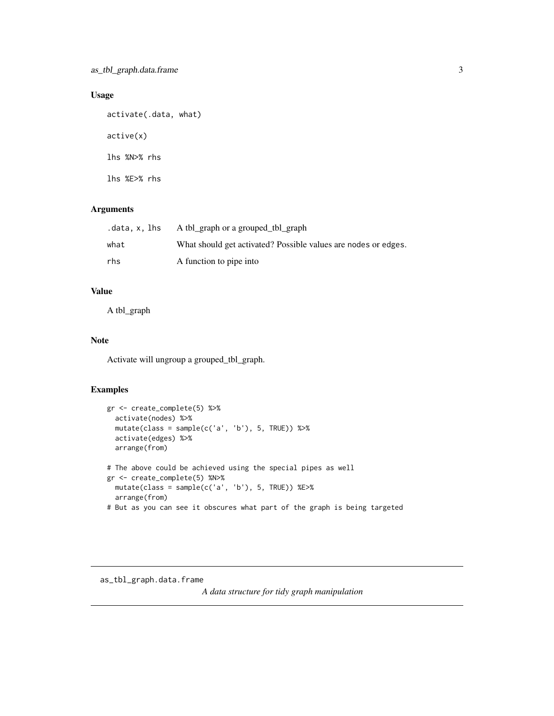# <span id="page-2-0"></span>Usage

```
activate(.data, what)
active(x)
lhs %N>% rhs
lhs %E>% rhs
```
# Arguments

| .data.x.lhs | A tbl_graph or a grouped_tbl_graph                             |
|-------------|----------------------------------------------------------------|
| what        | What should get activated? Possible values are nodes or edges. |
| rhs         | A function to pipe into                                        |

# Value

A tbl\_graph

# Note

Activate will ungroup a grouped\_tbl\_graph.

# Examples

```
gr <- create_complete(5) %>%
 activate(nodes) %>%
 mutate(class = sample(c('a', 'b'), 5, TRUE)) %>%
 activate(edges) %>%
  arrange(from)
# The above could be achieved using the special pipes as well
gr <- create_complete(5) %N>%
 mutate(class = sample(c('a', 'b'), 5, TRUE)) %E>%
 arrange(from)
# But as you can see it obscures what part of the graph is being targeted
```
<span id="page-2-1"></span>as\_tbl\_graph.data.frame

*A data structure for tidy graph manipulation*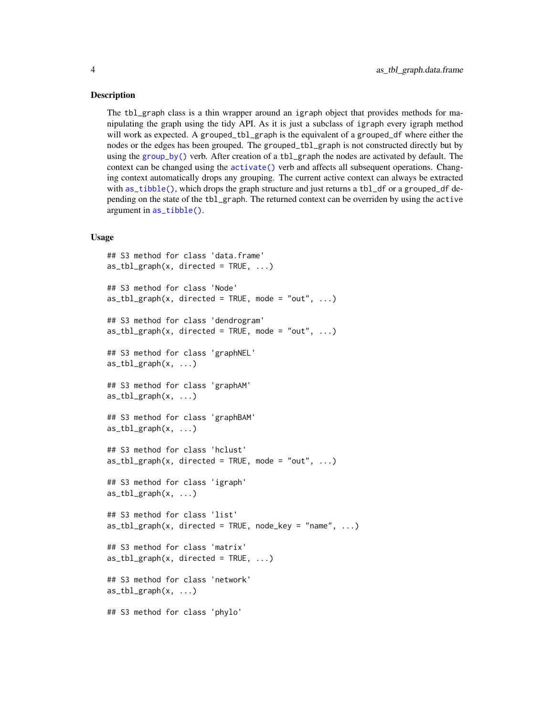#### Description

The tbl\_graph class is a thin wrapper around an igraph object that provides methods for manipulating the graph using the tidy API. As it is just a subclass of igraph every igraph method will work as expected. A grouped\_tbl\_graph is the equivalent of a grouped\_df where either the nodes or the edges has been grouped. The grouped\_tbl\_graph is not constructed directly but by using the [group\\_by\(\)](#page-0-0) verb. After creation of a tbl\_graph the nodes are activated by default. The context can be changed using the [activate\(\)](#page-1-1) verb and affects all subsequent operations. Changing context automatically drops any grouping. The current active context can always be extracted with [as\\_tibble\(\)](#page-0-0), which drops the graph structure and just returns a tbl\_df or a grouped\_df depending on the state of the tbl\_graph. The returned context can be overriden by using the active argument in [as\\_tibble\(\)](#page-0-0).

#### Usage

```
## S3 method for class 'data.frame'
as_tbbl_graph(x, directed = TRUE, ...)## S3 method for class 'Node'
as_tbl_graph(x, directed = TRUE, mode = "out", ...)## S3 method for class 'dendrogram'
as_tbl_graph(x, directed = TRUE, mode = "out", ...)## S3 method for class 'graphNEL'
as_tbl_graph(x, \ldots)## S3 method for class 'graphAM'
as_tbl_graph(x, \ldots)## S3 method for class 'graphBAM'
as_tbl_graph(x, \ldots)## S3 method for class 'hclust'
as_tbl_graph(x, directed = TRUE, mode = "out", ...)## S3 method for class 'igraph'
as_tbl_graph(x, \ldots)## S3 method for class 'list'
as_tbl_graph(x, directed = TRUE, node_key = "name", ...)## S3 method for class 'matrix'
as_{\text{t}} = \text{tbl}_{\text{t}} = \text{tbl}_{\text{t}} = \text{tbl}_{\text{t}} = \text{tbl}_{\text{t}} = \text{tbl}_{\text{t}} = \text{tbl}_{\text{t}} = \text{tbl}_{\text{t}} = \text{tbl}_{\text{t}} = \text{tbl}_{\text{t}} = \text{tbl}_{\text{t}} = \text{tbl}_{\text{t}} = \text{tbl}_{\text{t}} = \text{tbl}_{\text{t}} = \text{tbl}_{\text{t}} = \text{tbl}_{\text{t}} = \text{tbl}_{\text{t}} = \text{tbl}_{\text{t}} = \text{tbl}_{\text## S3 method for class 'network'
as_{\text{-}tbl_{\text{-}graph}(x, \ldots)}## S3 method for class 'phylo'
```
<span id="page-3-0"></span>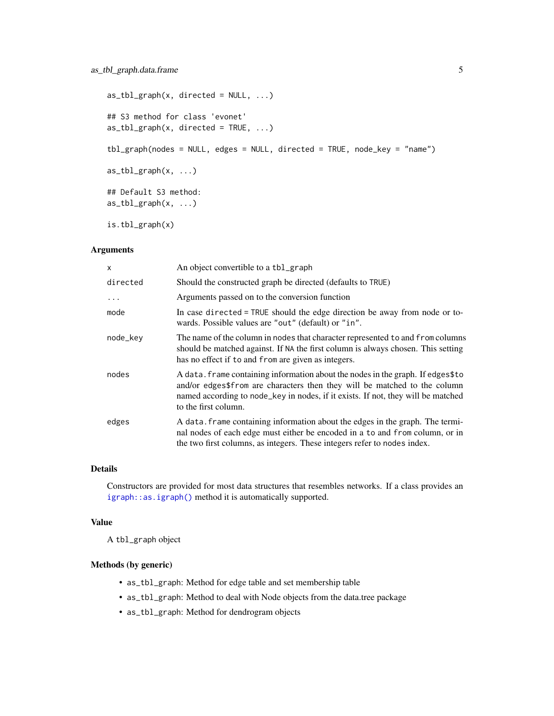```
as_{\text{t}} = \text{tbl}_{\text{t}} = \text{tbl}_{\text{t}} \cdot \text{tbl}_{\text{t}}## S3 method for class 'evonet'
as_tbl_graph(x, directed = TRUE, ...)tbl_graph(nodes = NULL, edges = NULL, directed = TRUE, node_key = "name")
as_tbl_graph(x, \ldots)## Default S3 method:
as_{\text{-}tbl_{\text{-}graph}(x, \ldots)}
```
is.tbl\_graph(x)

#### Arguments

| $\times$  | An object convertible to a tbl_graph                                                                                                                                                                                                                                     |
|-----------|--------------------------------------------------------------------------------------------------------------------------------------------------------------------------------------------------------------------------------------------------------------------------|
| directed  | Should the constructed graph be directed (defaults to TRUE)                                                                                                                                                                                                              |
| $\ddotsc$ | Arguments passed on to the conversion function                                                                                                                                                                                                                           |
| mode      | In case directed = TRUE should the edge direction be away from node or to-<br>wards. Possible values are "out" (default) or "in".                                                                                                                                        |
| node_key  | The name of the column in nodes that character represented to and from columns<br>should be matched against. If NA the first column is always chosen. This setting<br>has no effect if to and from are given as integers.                                                |
| nodes     | A data. frame containing information about the nodes in the graph. If edges\$to<br>and/or edges\$from are characters then they will be matched to the column<br>named according to node_key in nodes, if it exists. If not, they will be matched<br>to the first column. |
| edges     | A data. frame containing information about the edges in the graph. The termi-<br>nal nodes of each edge must either be encoded in a to and from column, or in<br>the two first columns, as integers. These integers refer to nodes index.                                |

## Details

Constructors are provided for most data structures that resembles networks. If a class provides an [igraph::as.igraph\(\)](#page-0-0) method it is automatically supported.

# Value

A tbl\_graph object

#### Methods (by generic)

- as\_tbl\_graph: Method for edge table and set membership table
- as\_tbl\_graph: Method to deal with Node objects from the data.tree package
- as\_tbl\_graph: Method for dendrogram objects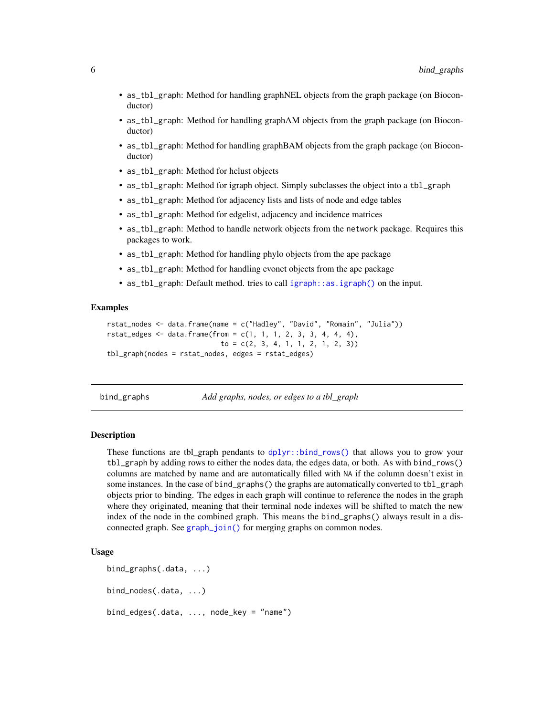- <span id="page-5-0"></span>• as\_tbl\_graph: Method for handling graphNEL objects from the graph package (on Bioconductor)
- as\_tbl\_graph: Method for handling graphAM objects from the graph package (on Bioconductor)
- as\_tbl\_graph: Method for handling graphBAM objects from the graph package (on Bioconductor)
- as\_tbl\_graph: Method for hclust objects
- as\_tbl\_graph: Method for igraph object. Simply subclasses the object into a tbl\_graph
- as\_tbl\_graph: Method for adjacency lists and lists of node and edge tables
- as\_tbl\_graph: Method for edgelist, adjacency and incidence matrices
- as\_tbl\_graph: Method to handle network objects from the network package. Requires this packages to work.
- as\_tbl\_graph: Method for handling phylo objects from the ape package
- as\_tbl\_graph: Method for handling evonet objects from the ape package
- as\_tbl\_graph: Default method. tries to call [igraph::as.igraph\(\)](#page-0-0) on the input.

#### Examples

```
rstat_nodes <- data.frame(name = c("Hadley", "David", "Romain", "Julia"))
rstat\_edges \leq data.frame(from = c(1, 1, 1, 2, 3, 3, 4, 4, 4),to = c(2, 3, 4, 1, 1, 2, 1, 2, 3))tbl_graph(nodes = rstat_nodes, edges = rstat_edges)
```
bind\_graphs *Add graphs, nodes, or edges to a tbl\_graph*

#### **Description**

These functions are tbl\_graph pendants to [dplyr::bind\\_rows\(\)](#page-0-0) that allows you to grow your tbl\_graph by adding rows to either the nodes data, the edges data, or both. As with bind\_rows() columns are matched by name and are automatically filled with NA if the column doesn't exist in some instances. In the case of bind\_graphs() the graphs are automatically converted to tbl\_graph objects prior to binding. The edges in each graph will continue to reference the nodes in the graph where they originated, meaning that their terminal node indexes will be shifted to match the new index of the node in the combined graph. This means the bind\_graphs() always result in a disconnected graph. See [graph\\_join\(\)](#page-18-1) for merging graphs on common nodes.

#### Usage

```
bind_graphs(.data, ...)
bind_nodes(.data, ...)
bind_edges(.data, ..., node_key = "name")
```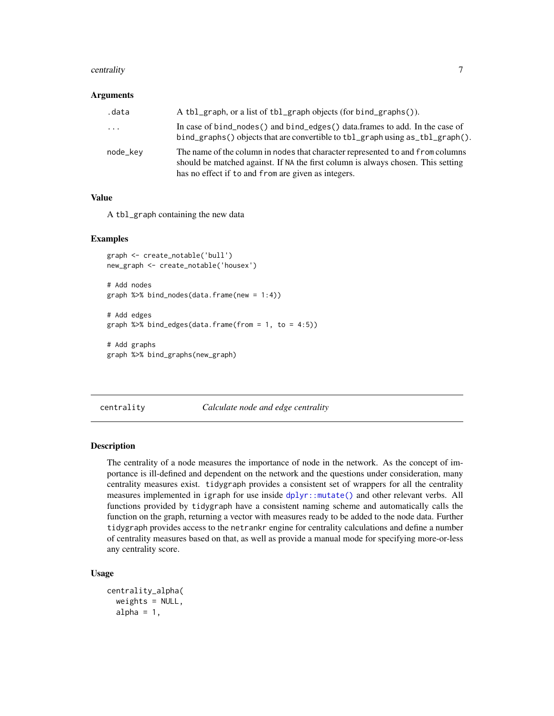#### <span id="page-6-0"></span>centrality 7

#### Arguments

| .data    | A tbl_graph, or a list of tbl_graph objects (for bind_graphs()).                                                                                                                                                          |
|----------|---------------------------------------------------------------------------------------------------------------------------------------------------------------------------------------------------------------------------|
| $\cdots$ | In case of bind_nodes() and bind_edges() data.frames to add. In the case of<br>bind_graphs() objects that are convertible to tbl_graph using as_tbl_graph().                                                              |
| node_kev | The name of the column in nodes that character represented to and from columns<br>should be matched against. If NA the first column is always chosen. This setting<br>has no effect if to and from are given as integers. |

#### Value

A tbl\_graph containing the new data

### Examples

```
graph <- create_notable('bull')
new_graph <- create_notable('housex')
# Add nodes
graph %>% bind_nodes(data.frame(new = 1:4))
# Add edges
graph %\gg bind_edges(data.frame(from = 1, to = 4:5))
# Add graphs
graph %>% bind_graphs(new_graph)
```
<span id="page-6-1"></span>centrality *Calculate node and edge centrality*

#### Description

The centrality of a node measures the importance of node in the network. As the concept of importance is ill-defined and dependent on the network and the questions under consideration, many centrality measures exist. tidygraph provides a consistent set of wrappers for all the centrality measures implemented in igraph for use inside [dplyr::mutate\(\)](#page-0-0) and other relevant verbs. All functions provided by tidygraph have a consistent naming scheme and automatically calls the function on the graph, returning a vector with measures ready to be added to the node data. Further tidygraph provides access to the netrankr engine for centrality calculations and define a number of centrality measures based on that, as well as provide a manual mode for specifying more-or-less any centrality score.

#### Usage

```
centrality_alpha(
  weights = NULL,alpha = 1,
```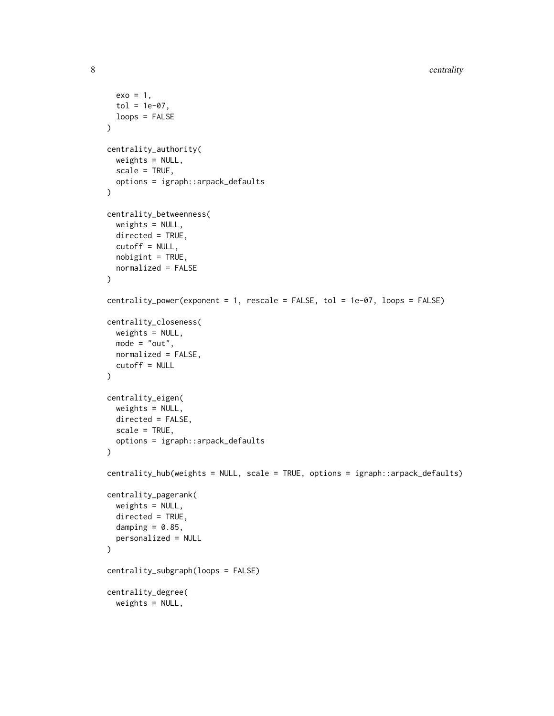```
exo = 1,
 tol = 1e-07,loops = FALSE
\lambdacentrality_authority(
 weights = NULL,
 scale = TRUE,
 options = igraph::arpack_defaults
)
centrality_betweenness(
 weights = NULL,
 directed = TRUE,cutoff = NULL,
 nobigint = TRUE,normalized = FALSE
)
centrality_power(exponent = 1, rescale = FALSE, tol = 1e-07, loops = FALSE)
centrality_closeness(
 weights = NULL,
 mode = "out",normalized = FALSE,
  cutoff = NULL
\mathcal{L}centrality_eigen(
 weights = NULL,
 directed = FALSE,
  scale = TRUE,
  options = igraph::arpack_defaults
\lambdacentrality_hub(weights = NULL, scale = TRUE, options = igraph::arpack_defaults)
centrality_pagerank(
  weights = NULL,
  directed = TRUE,
  damping = 0.85,
  personalized = NULL
\lambdacentrality_subgraph(loops = FALSE)
centrality_degree(
 weights = NULL,
```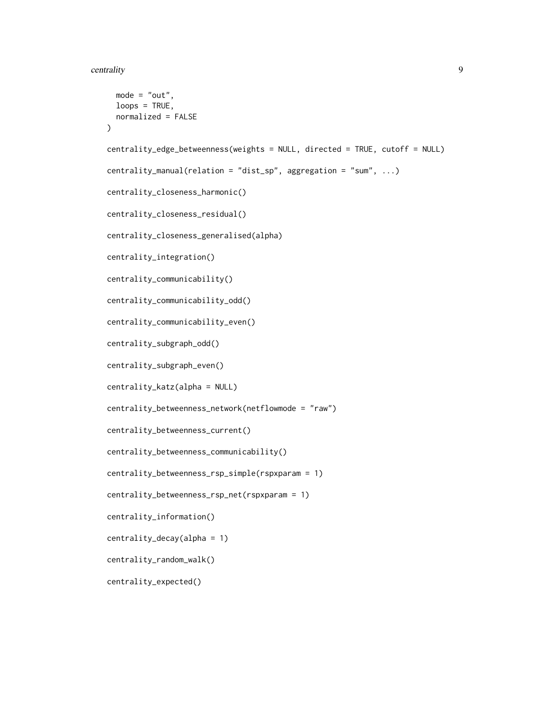```
mode = "out",loops = TRUE,normalized = FALSE
\lambdacentrality_edge_betweenness(weights = NULL, directed = TRUE, cutoff = NULL)
centrality_manual(relation = "dist_sp", aggregation = "sum", ...)
centrality_closeness_harmonic()
centrality_closeness_residual()
centrality_closeness_generalised(alpha)
centrality_integration()
centrality_communicability()
centrality_communicability_odd()
centrality_communicability_even()
centrality_subgraph_odd()
centrality_subgraph_even()
centrality_katz(alpha = NULL)
centrality_betweenness_network(netflowmode = "raw")
centrality_betweenness_current()
centrality_betweenness_communicability()
centrality_betweenness_rsp_simple(rspxparam = 1)
centrality_betweenness_rsp_net(rspxparam = 1)
centrality_information()
centrality_decay(alpha = 1)
centrality_random_walk()
centrality_expected()
```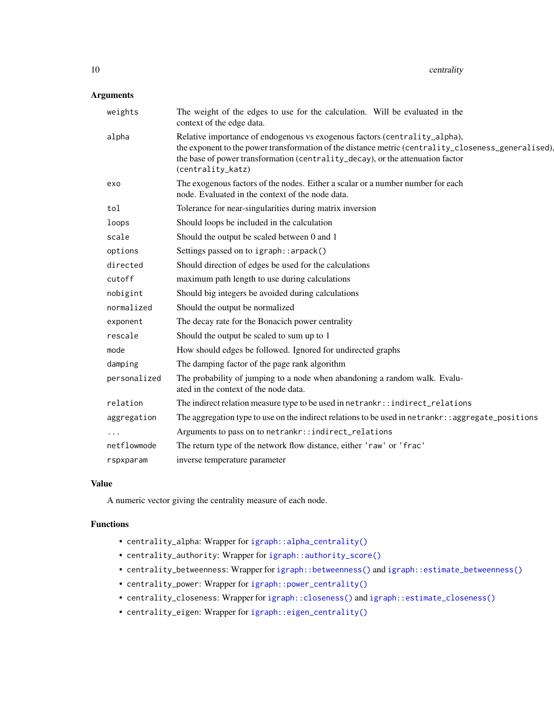# <span id="page-9-0"></span>Arguments

| weights      | The weight of the edges to use for the calculation. Will be evaluated in the<br>context of the edge data.                                                                                                                                                                                |
|--------------|------------------------------------------------------------------------------------------------------------------------------------------------------------------------------------------------------------------------------------------------------------------------------------------|
| alpha        | Relative importance of endogenous vs exogenous factors (centrality_alpha),<br>the exponent to the power transformation of the distance metric (centrality_closeness_generalised),<br>the base of power transformation (centrality_decay), or the attenuation factor<br>(centrality_katz) |
| exo          | The exogenous factors of the nodes. Either a scalar or a number number for each<br>node. Evaluated in the context of the node data.                                                                                                                                                      |
| tol          | Tolerance for near-singularities during matrix inversion                                                                                                                                                                                                                                 |
| loops        | Should loops be included in the calculation                                                                                                                                                                                                                                              |
| scale        | Should the output be scaled between 0 and 1                                                                                                                                                                                                                                              |
| options      | Settings passed on to igraph:: arpack()                                                                                                                                                                                                                                                  |
| directed     | Should direction of edges be used for the calculations                                                                                                                                                                                                                                   |
| cutoff       | maximum path length to use during calculations                                                                                                                                                                                                                                           |
| nobigint     | Should big integers be avoided during calculations                                                                                                                                                                                                                                       |
| normalized   | Should the output be normalized                                                                                                                                                                                                                                                          |
| exponent     | The decay rate for the Bonacich power centrality                                                                                                                                                                                                                                         |
| rescale      | Should the output be scaled to sum up to 1                                                                                                                                                                                                                                               |
| mode         | How should edges be followed. Ignored for undirected graphs                                                                                                                                                                                                                              |
| damping      | The damping factor of the page rank algorithm                                                                                                                                                                                                                                            |
| personalized | The probability of jumping to a node when abandoning a random walk. Evalu-<br>ated in the context of the node data.                                                                                                                                                                      |
| relation     | The indirect relation measure type to be used in netrankr::indirect_relations                                                                                                                                                                                                            |
| aggregation  | The aggregation type to use on the indirect relations to be used in netrankr: : aggregate_positions                                                                                                                                                                                      |
|              | Arguments to pass on to netrankr::indirect_relations                                                                                                                                                                                                                                     |
| netflowmode  | The return type of the network flow distance, either 'raw' or 'frac'                                                                                                                                                                                                                     |
| rspxparam    | inverse temperature parameter                                                                                                                                                                                                                                                            |

# Value

A numeric vector giving the centrality measure of each node.

# Functions

- centrality\_alpha: Wrapper for [igraph::alpha\\_centrality\(\)](#page-0-0)
- centrality\_authority: Wrapper for [igraph::authority\\_score\(\)](#page-0-0)
- centrality\_betweenness: Wrapper for [igraph::betweenness\(\)](#page-0-0) and [igraph::estimate\\_betweenness\(\)](#page-0-0)
- centrality\_power: Wrapper for [igraph::power\\_centrality\(\)](#page-0-0)
- centrality\_closeness: Wrapper for [igraph::closeness\(\)](#page-0-0) and [igraph::estimate\\_closeness\(\)](#page-0-0)
- centrality\_eigen: Wrapper for [igraph::eigen\\_centrality\(\)](#page-0-0)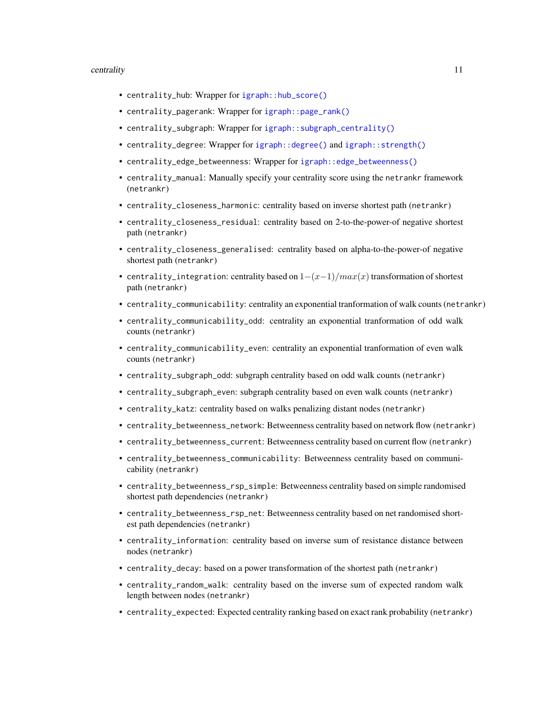#### <span id="page-10-0"></span>centrality that the control of the control of the control of the control of the control of the control of the control of the control of the control of the control of the control of the control of the control of the control

- centrality\_hub: Wrapper for [igraph::hub\\_score\(\)](#page-0-0)
- centrality\_pagerank: Wrapper for [igraph::page\\_rank\(\)](#page-0-0)
- centrality\_subgraph: Wrapper for [igraph::subgraph\\_centrality\(\)](#page-0-0)
- centrality\_degree: Wrapper for [igraph::degree\(\)](#page-0-0) and [igraph::strength\(\)](#page-0-0)
- centrality\_edge\_betweenness: Wrapper for [igraph::edge\\_betweenness\(\)](#page-0-0)
- centrality\_manual: Manually specify your centrality score using the netrankr framework (netrankr)
- centrality\_closeness\_harmonic: centrality based on inverse shortest path (netrankr)
- centrality\_closeness\_residual: centrality based on 2-to-the-power-of negative shortest path (netrankr)
- centrality\_closeness\_generalised: centrality based on alpha-to-the-power-of negative shortest path (netrankr)
- centrality\_integration: centrality based on  $1-(x-1)/max(x)$  transformation of shortest path (netrankr)
- centrality\_communicability: centrality an exponential tranformation of walk counts (netrankr)
- centrality\_communicability\_odd: centrality an exponential tranformation of odd walk counts (netrankr)
- centrality\_communicability\_even: centrality an exponential tranformation of even walk counts (netrankr)
- centrality\_subgraph\_odd: subgraph centrality based on odd walk counts (netrankr)
- centrality\_subgraph\_even: subgraph centrality based on even walk counts (netrankr)
- centrality\_katz: centrality based on walks penalizing distant nodes (netrankr)
- centrality\_betweenness\_network: Betweenness centrality based on network flow (netrankr)
- centrality\_betweenness\_current: Betweenness centrality based on current flow (netrankr)
- centrality\_betweenness\_communicability: Betweenness centrality based on communicability (netrankr)
- centrality\_betweenness\_rsp\_simple: Betweenness centrality based on simple randomised shortest path dependencies (netrankr)
- centrality\_betweenness\_rsp\_net: Betweenness centrality based on net randomised shortest path dependencies (netrankr)
- centrality\_information: centrality based on inverse sum of resistance distance between nodes (netrankr)
- centrality\_decay: based on a power transformation of the shortest path (netrankr)
- centrality\_random\_walk: centrality based on the inverse sum of expected random walk length between nodes (netrankr)
- centrality\_expected: Expected centrality ranking based on exact rank probability (netrankr)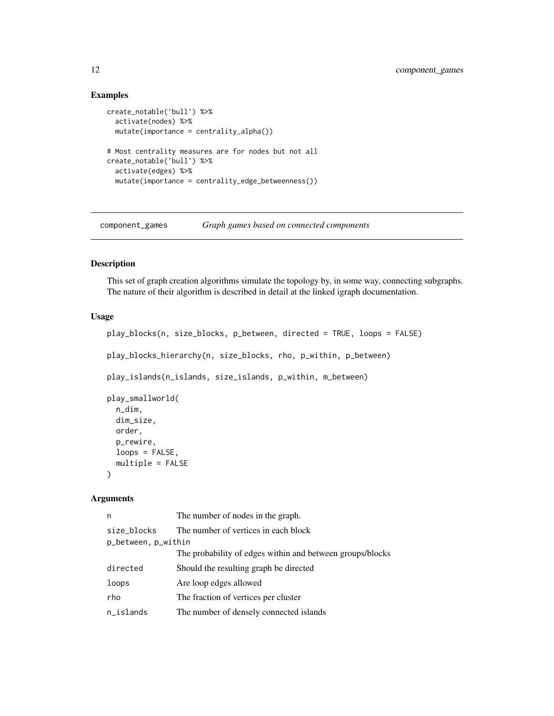# Examples

```
create_notable('bull') %>%
  activate(nodes) %>%
  mutate(importance = centrality_alpha())
# Most centrality measures are for nodes but not all
create_notable('bull') %>%
  activate(edges) %>%
  mutate(importance = centrality_edge_betweenness())
```
<span id="page-11-1"></span>component\_games *Graph games based on connected components*

# Description

This set of graph creation algorithms simulate the topology by, in some way, connecting subgraphs. The nature of their algorithm is described in detail at the linked igraph documentation.

# Usage

```
play_blocks(n, size_blocks, p_between, directed = TRUE, loops = FALSE)
play_blocks_hierarchy(n, size_blocks, rho, p_within, p_between)
play_islands(n_islands, size_islands, p_within, m_between)
play_smallworld(
  n_dim,
  dim_size,
  order,
 p_rewire,
  loops = FALSE,
 multiple = FALSE
)
```
#### Arguments

| n                   | The number of nodes in the graph.                         |
|---------------------|-----------------------------------------------------------|
| size blocks         | The number of vertices in each block                      |
| p_between, p_within |                                                           |
|                     | The probability of edges within and between groups/blocks |
| directed            | Should the resulting graph be directed                    |
| loops               | Are loop edges allowed                                    |
| rho                 | The fraction of vertices per cluster                      |
| $n$ _islands        | The number of densely connected islands                   |

<span id="page-11-0"></span>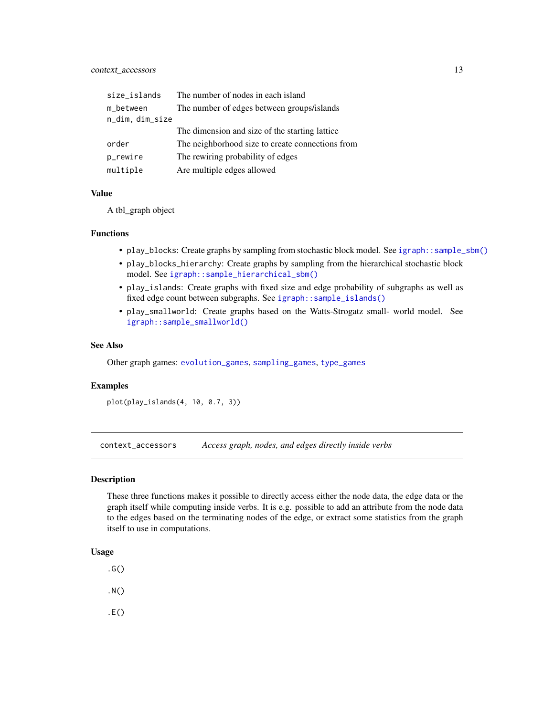# <span id="page-12-0"></span>context\_accessors 13

| size_islands    | The number of nodes in each island               |
|-----------------|--------------------------------------------------|
| m_between       | The number of edges between groups/islands       |
| n_dim, dim_size |                                                  |
|                 | The dimension and size of the starting lattice   |
| order           | The neighborhood size to create connections from |
| p_rewire        | The rewiring probability of edges                |
| multiple        | Are multiple edges allowed                       |

#### Value

A tbl\_graph object

# Functions

- play\_blocks: Create graphs by sampling from stochastic block model. See [igraph::sample\\_sbm\(\)](#page-0-0)
- play\_blocks\_hierarchy: Create graphs by sampling from the hierarchical stochastic block model. See [igraph::sample\\_hierarchical\\_sbm\(\)](#page-0-0)
- play\_islands: Create graphs with fixed size and edge probability of subgraphs as well as fixed edge count between subgraphs. See [igraph::sample\\_islands\(\)](#page-0-0)
- play\_smallworld: Create graphs based on the Watts-Strogatz small- world model. See [igraph::sample\\_smallworld\(\)](#page-0-0)

#### See Also

Other graph games: [evolution\\_games](#page-16-1), [sampling\\_games](#page-50-1), [type\\_games](#page-53-1)

#### Examples

plot(play\_islands(4, 10, 0.7, 3))

context\_accessors *Access graph, nodes, and edges directly inside verbs*

#### Description

These three functions makes it possible to directly access either the node data, the edge data or the graph itself while computing inside verbs. It is e.g. possible to add an attribute from the node data to the edges based on the terminating nodes of the edge, or extract some statistics from the graph itself to use in computations.

# Usage

- $.G()$
- .N()
- .E()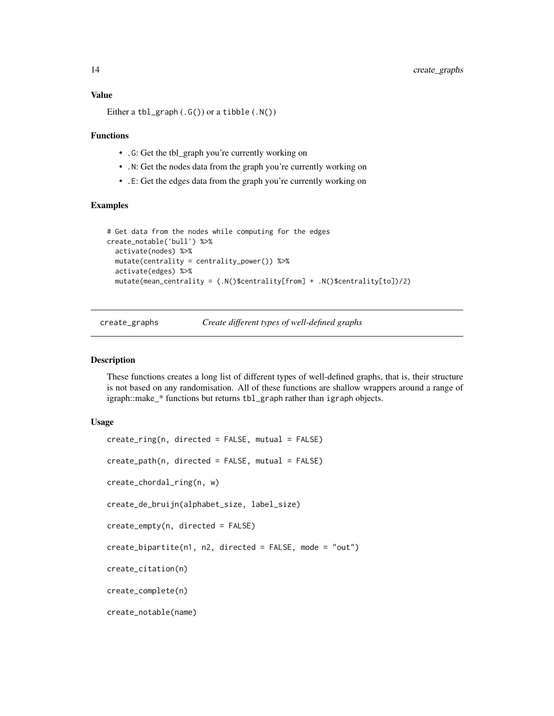# <span id="page-13-0"></span>Value

Either a tbl\_graph  $(.G())$  or a tibble  $(.N())$ 

#### Functions

- .G: Get the tbl\_graph you're currently working on
- .N: Get the nodes data from the graph you're currently working on
- .E: Get the edges data from the graph you're currently working on

#### Examples

```
# Get data from the nodes while computing for the edges
create_notable('bull') %>%
  activate(nodes) %>%
  mutate(centrality = centrality_power()) %>%
  activate(edges) %>%
  mutate(mean_centrality = (.N()$centrality[from] + .N()$centrality[to])/2)
```
create\_graphs *Create different types of well-defined graphs*

#### Description

These functions creates a long list of different types of well-defined graphs, that is, their structure is not based on any randomisation. All of these functions are shallow wrappers around a range of igraph::make\_\* functions but returns tbl\_graph rather than igraph objects.

#### Usage

```
create_ring(n, directed = FALSE, mutual = FALSE)
create_path(n, directed = FALSE, mutual = FALSE)
create_chordal_ring(n, w)
create_de_bruijn(alphabet_size, label_size)
create_empty(n, directed = FALSE)
create_bipartite(n1, n2, directed = FALSE, mode = "out")
create_citation(n)
create_complete(n)
create_notable(name)
```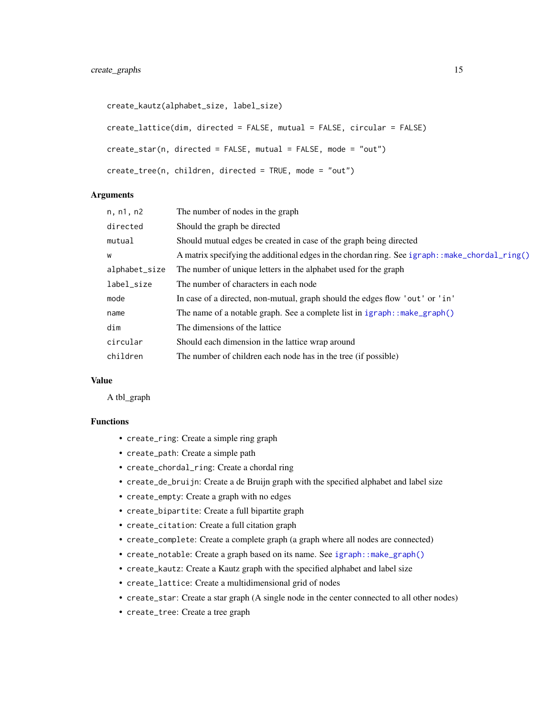```
create_kautz(alphabet_size, label_size)
create_lattice(dim, directed = FALSE, mutual = FALSE, circular = FALSE)
create_star(n, directed = FALSE, mutual = FALSE, mode = "out")
create_tree(n, children, directed = TRUE, mode = "out")
```
#### Arguments

| n, n1, n2     | The number of nodes in the graph                                                              |
|---------------|-----------------------------------------------------------------------------------------------|
| directed      | Should the graph be directed                                                                  |
| mutual        | Should mutual edges be created in case of the graph being directed                            |
| W             | A matrix specifying the additional edges in the chordan ring. See igraph::make_chordal_ring() |
| alphabet_size | The number of unique letters in the alphabet used for the graph                               |
| label_size    | The number of characters in each node                                                         |
| mode          | In case of a directed, non-mutual, graph should the edges flow 'out' or 'in'                  |
| name          | The name of a notable graph. See a complete list in $\text{igraph}: \text{make\_graph}()$     |
| dim           | The dimensions of the lattice.                                                                |
| circular      | Should each dimension in the lattice wrap around                                              |
| children      | The number of children each node has in the tree (if possible)                                |

#### Value

A tbl\_graph

# Functions

- create\_ring: Create a simple ring graph
- create\_path: Create a simple path
- create\_chordal\_ring: Create a chordal ring
- create\_de\_bruijn: Create a de Bruijn graph with the specified alphabet and label size
- create\_empty: Create a graph with no edges
- create\_bipartite: Create a full bipartite graph
- create\_citation: Create a full citation graph
- create\_complete: Create a complete graph (a graph where all nodes are connected)
- create\_notable: Create a graph based on its name. See [igraph::make\\_graph\(\)](#page-0-0)
- create\_kautz: Create a Kautz graph with the specified alphabet and label size
- create\_lattice: Create a multidimensional grid of nodes
- create\_star: Create a star graph (A single node in the center connected to all other nodes)
- create\_tree: Create a tree graph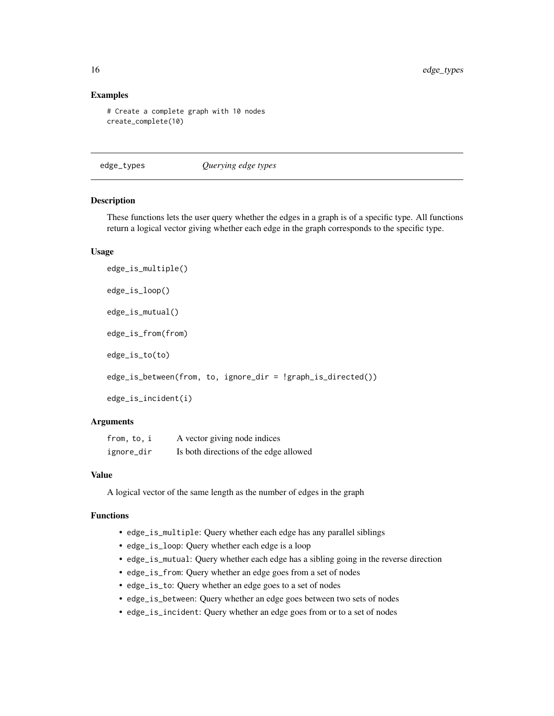#### Examples

```
# Create a complete graph with 10 nodes
create_complete(10)
```
edge\_types *Querying edge types*

#### Description

These functions lets the user query whether the edges in a graph is of a specific type. All functions return a logical vector giving whether each edge in the graph corresponds to the specific type.

# Usage

```
edge_is_multiple()
edge_is_loop()
edge_is_mutual()
edge_is_from(from)
edge_is_to(to)
edge_is_between(from, to, ignore_dir = !graph_is_directed())
edge_is_incident(i)
```
#### Arguments

| from, to, i | A vector giving node indices           |
|-------------|----------------------------------------|
| ignore_dir  | Is both directions of the edge allowed |

#### Value

A logical vector of the same length as the number of edges in the graph

#### Functions

- edge\_is\_multiple: Query whether each edge has any parallel siblings
- edge\_is\_loop: Query whether each edge is a loop
- edge\_is\_mutual: Query whether each edge has a sibling going in the reverse direction
- edge\_is\_from: Query whether an edge goes from a set of nodes
- edge\_is\_to: Query whether an edge goes to a set of nodes
- edge\_is\_between: Query whether an edge goes between two sets of nodes
- edge\_is\_incident: Query whether an edge goes from or to a set of nodes

<span id="page-15-0"></span>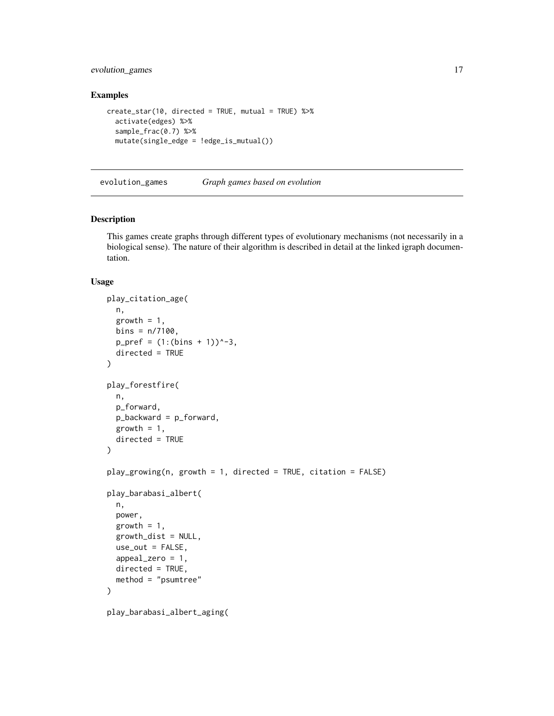# <span id="page-16-0"></span>evolution\_games 17

# Examples

```
create_star(10, directed = TRUE, mutual = TRUE) %>%
  activate(edges) %>%
  sample_frac(0.7) %>%
  mutate(single_edge = !edge_is_mutual())
```
<span id="page-16-1"></span>evolution\_games *Graph games based on evolution*

# Description

This games create graphs through different types of evolutionary mechanisms (not necessarily in a biological sense). The nature of their algorithm is described in detail at the linked igraph documentation.

#### Usage

```
play_citation_age(
 n,
 growth = 1,
 bins = n/7100,p_{\text{pref}} = (1:(bins + 1))^{\wedge -3},
  directed = TRUE
\mathcal{L}play_forestfire(
 n,
 p_forward,
 p_backward = p_forward,
  growth = 1,
  directed = TRUE
)
play_growing(n, growth = 1, directed = TRUE, citation = FALSE)
play_barabasi_albert(
  n,
  power,
  growth = 1,
  growth_dist = NULL,
 use_out = FALSE,
  appeal_zero = 1,
 directed = TRUE,
 method = "psumtree"
)
play_barabasi_albert_aging(
```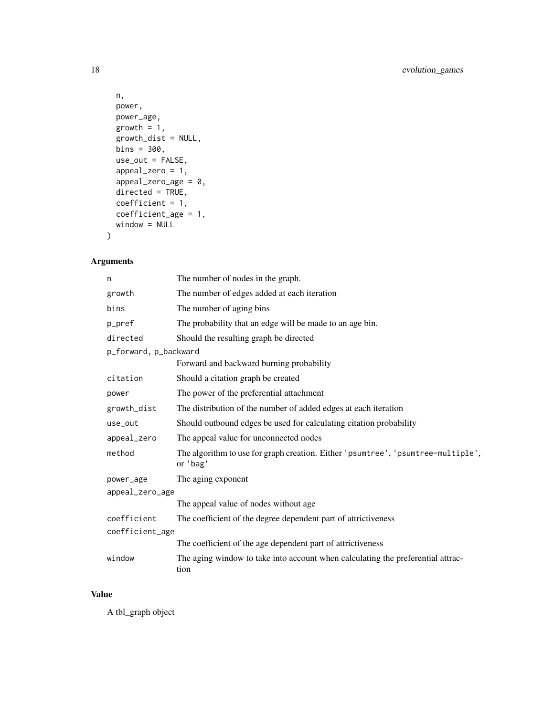```
n,
 power,
 power_age,
 growth = 1,
 growth_dist = NULL,
 bins = 300,
 use_out = FALSE,appeal_zero = 1,
 appeak\_zero\_age = 0,directed = TRUE,
 coefficient = 1,
 coefficient_age = 1,
 window = NULL
)
```
# Arguments

| n                     | The number of nodes in the graph.                                                            |
|-----------------------|----------------------------------------------------------------------------------------------|
| growth                | The number of edges added at each iteration                                                  |
| bins                  | The number of aging bins                                                                     |
| p_pref                | The probability that an edge will be made to an age bin.                                     |
| directed              | Should the resulting graph be directed                                                       |
| p_forward, p_backward |                                                                                              |
|                       | Forward and backward burning probability                                                     |
| citation              | Should a citation graph be created                                                           |
| power                 | The power of the preferential attachment                                                     |
| growth_dist           | The distribution of the number of added edges at each iteration                              |
| use_out               | Should outbound edges be used for calculating citation probability                           |
| appeal_zero           | The appeal value for unconnected nodes                                                       |
| method                | The algorithm to use for graph creation. Either 'psumtree', 'psumtree-multiple',<br>or 'bag' |
| power_age             | The aging exponent                                                                           |
| appeal_zero_age       |                                                                                              |
|                       | The appeal value of nodes without age                                                        |
| coefficient           | The coefficient of the degree dependent part of attrictiveness                               |
| coefficient_age       |                                                                                              |
|                       | The coefficient of the age dependent part of attrictiveness                                  |
| window                | The aging window to take into account when calculating the preferential attrac-<br>tion      |

# Value

A tbl\_graph object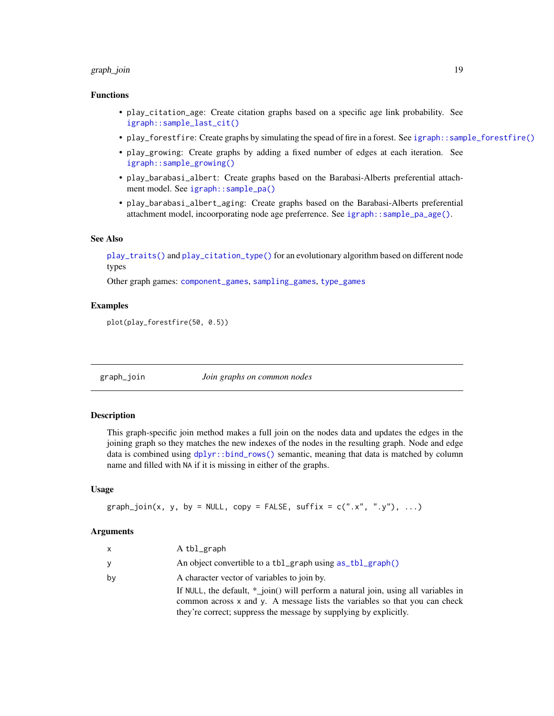# <span id="page-18-0"></span>graph\_join 19

# Functions

- play\_citation\_age: Create citation graphs based on a specific age link probability. See [igraph::sample\\_last\\_cit\(\)](#page-0-0)
- play\_forestfire: Create graphs by simulating the spead of fire in a forest. See [igraph::sample\\_forestfire\(\)](#page-0-0)
- play\_growing: Create graphs by adding a fixed number of edges at each iteration. See [igraph::sample\\_growing\(\)](#page-0-0)
- play\_barabasi\_albert: Create graphs based on the Barabasi-Alberts preferential attachment model. See [igraph::sample\\_pa\(\)](#page-0-0)
- play\_barabasi\_albert\_aging: Create graphs based on the Barabasi-Alberts preferential attachment model, incoorporating node age preferrence. See [igraph::sample\\_pa\\_age\(\)](#page-0-0).

# See Also

[play\\_traits\(\)](#page-53-2) and [play\\_citation\\_type\(\)](#page-53-2) for an evolutionary algorithm based on different node types

Other graph games: [component\\_games](#page-11-1), [sampling\\_games](#page-50-1), [type\\_games](#page-53-1)

### Examples

plot(play\_forestfire(50, 0.5))

<span id="page-18-1"></span>graph\_join *Join graphs on common nodes*

#### **Description**

This graph-specific join method makes a full join on the nodes data and updates the edges in the joining graph so they matches the new indexes of the nodes in the resulting graph. Node and edge data is combined using  $dplyr:bind\_rows()$  semantic, meaning that data is matched by column name and filled with NA if it is missing in either of the graphs.

#### Usage

```
graph\_join(x, y, by = NULL, copy = FALSE, suffix = c("x", "y"), ...)
```
#### Arguments

| $\mathsf{x}$ | A tbl_graph                                                                        |
|--------------|------------------------------------------------------------------------------------|
| y            | An object convertible to a tbl_graph using as_tbl_graph()                          |
| by           | A character vector of variables to join by.                                        |
|              | If NULL, the default, * join() will perform a natural join, using all variables in |
|              | common across x and y. A message lists the variables so that you can check         |
|              | they're correct; suppress the message by supplying by explicitly.                  |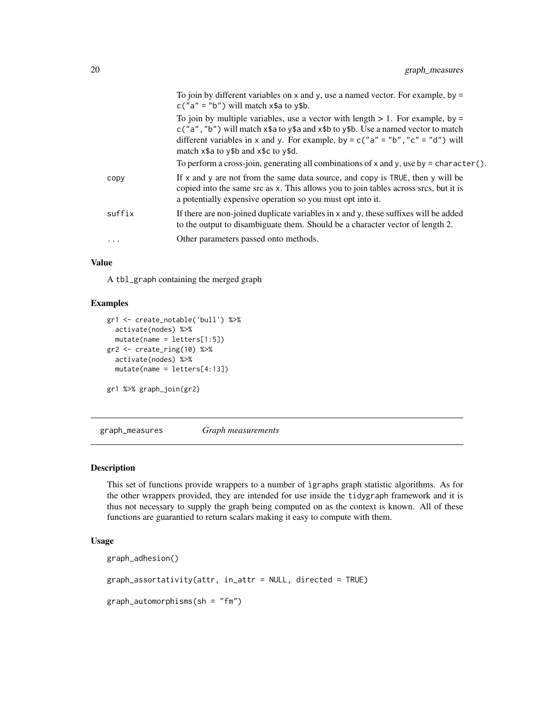<span id="page-19-0"></span>

|        | To join by different variables on $x$ and $y$ , use a named vector. For example, by $=$<br>$c("a" = "b")$ will match $x$ \$a to $y$ \$b.                                                                                                                                                                   |
|--------|------------------------------------------------------------------------------------------------------------------------------------------------------------------------------------------------------------------------------------------------------------------------------------------------------------|
|        | To join by multiple variables, use a vector with length $> 1$ . For example, by =<br>$c("a", "b")$ will match $x$ \$a to y\$a and $x$ \$b to y\$b. Use a named vector to match<br>different variables in x and y. For example, by = $c("a" = "b", "c" = "d")$ will<br>match x\$a to y\$b and x\$c to y\$d. |
|        | To perform a cross-join, generating all combinations of x and y, use by $=$ character().                                                                                                                                                                                                                   |
| copy   | If x and y are not from the same data source, and copy is TRUE, then y will be<br>copied into the same src as x. This allows you to join tables across srcs, but it is<br>a potentially expensive operation so you must opt into it.                                                                       |
| suffix | If there are non-joined duplicate variables in x and y, these suffixes will be added<br>to the output to disambiguate them. Should be a character vector of length 2.                                                                                                                                      |
| .      | Other parameters passed onto methods.                                                                                                                                                                                                                                                                      |

# Value

A tbl\_graph containing the merged graph

# Examples

```
gr1 <- create_notable('bull') %>%
  activate(nodes) %>%
  mutate(name = letters[1:5])
gr2 < -\n  create\_ring(10) %activate(nodes) %>%
  mutate(name = letters[4:13])
gr1 %>% graph_join(gr2)
```
graph\_measures *Graph measurements*

# Description

This set of functions provide wrappers to a number of ìgraphs graph statistic algorithms. As for the other wrappers provided, they are intended for use inside the tidygraph framework and it is thus not necessary to supply the graph being computed on as the context is known. All of these functions are guarantied to return scalars making it easy to compute with them.

# Usage

```
graph_adhesion()
```
graph\_assortativity(attr, in\_attr = NULL, directed = TRUE)

 $graph_automorphisms(sh = "fm")$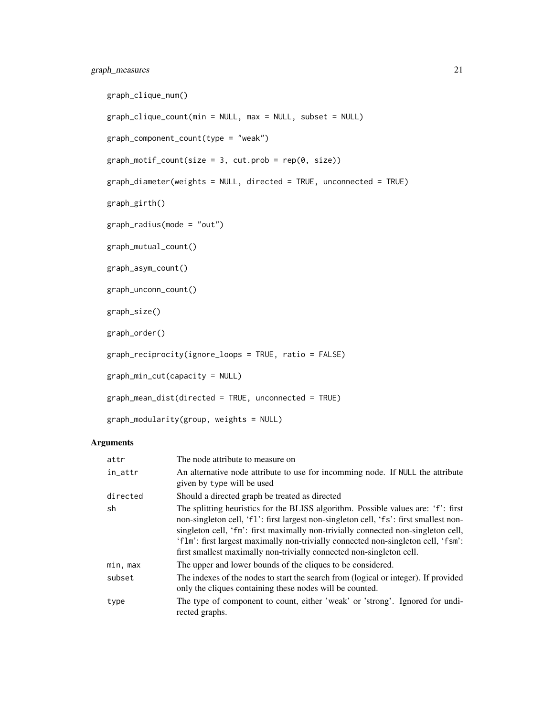# graph\_measures 21

```
graph_clique_num()
graph_clique_count(min = NULL, max = NULL, subset = NULL)
graph_component_count(type = "weak")
graph_motif_count(size = 3, cut.prob = rep(0, size))graph_diameter(weights = NULL, directed = TRUE, unconnected = TRUE)
graph_girth()
graph_radius(mode = "out")
graph_mutual_count()
graph_asym_count()
graph_unconn_count()
graph_size()
graph_order()
graph_reciprocity(ignore_loops = TRUE, ratio = FALSE)
graph_min_cut(capacity = NULL)
graph_mean_dist(directed = TRUE, unconnected = TRUE)
```

```
graph_modularity(group, weights = NULL)
```
# Arguments

| attr     | The node attribute to measure on                                                                                                                                                                                                                                                                                                                                                                                             |
|----------|------------------------------------------------------------------------------------------------------------------------------------------------------------------------------------------------------------------------------------------------------------------------------------------------------------------------------------------------------------------------------------------------------------------------------|
| in_attr  | An alternative node attribute to use for incomming node. If NULL the attribute<br>given by type will be used                                                                                                                                                                                                                                                                                                                 |
| directed | Should a directed graph be treated as directed                                                                                                                                                                                                                                                                                                                                                                               |
| sh       | The splitting heuristics for the BLISS algorithm. Possible values are: 'f': first<br>non-singleton cell, 'f1': first largest non-singleton cell, 'fs': first smallest non-<br>singleton cell, 'fm': first maximally non-trivially connected non-singleton cell,<br>'flm': first largest maximally non-trivially connected non-singleton cell, 'fsm':<br>first smallest maximally non-trivially connected non-singleton cell. |
| min, max | The upper and lower bounds of the cliques to be considered.                                                                                                                                                                                                                                                                                                                                                                  |
| subset   | The indexes of the nodes to start the search from (logical or integer). If provided<br>only the cliques containing these nodes will be counted.                                                                                                                                                                                                                                                                              |
| type     | The type of component to count, either 'weak' or 'strong'. Ignored for undi-<br>rected graphs.                                                                                                                                                                                                                                                                                                                               |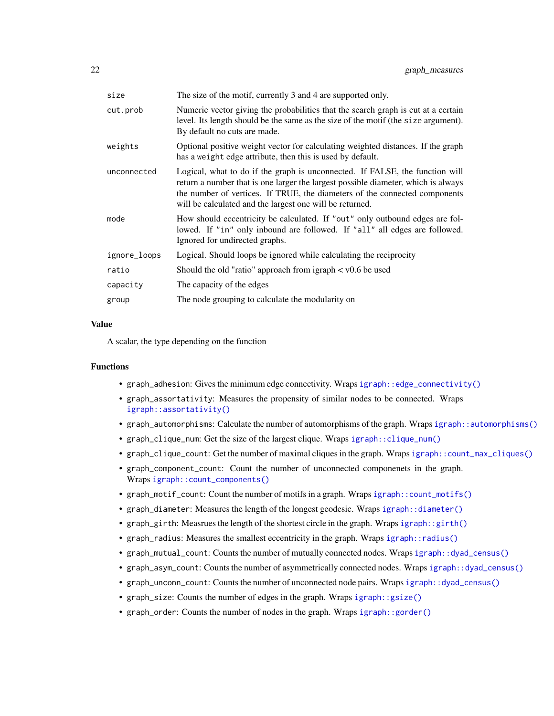<span id="page-21-0"></span>

| size         | The size of the motif, currently 3 and 4 are supported only.                                                                                                                                                                                                                                                |
|--------------|-------------------------------------------------------------------------------------------------------------------------------------------------------------------------------------------------------------------------------------------------------------------------------------------------------------|
| cut.prob     | Numeric vector giving the probabilities that the search graph is cut at a certain<br>level. Its length should be the same as the size of the motif (the size argument).<br>By default no cuts are made.                                                                                                     |
| weights      | Optional positive weight vector for calculating weighted distances. If the graph<br>has a weight edge attribute, then this is used by default.                                                                                                                                                              |
| unconnected  | Logical, what to do if the graph is unconnected. If FALSE, the function will<br>return a number that is one larger the largest possible diameter, which is always<br>the number of vertices. If TRUE, the diameters of the connected components<br>will be calculated and the largest one will be returned. |
| mode         | How should eccentricity be calculated. If "out" only outbound edges are fol-<br>lowed. If "in" only inbound are followed. If "all" all edges are followed.<br>Ignored for undirected graphs.                                                                                                                |
| ignore_loops | Logical. Should loops be ignored while calculating the reciprocity                                                                                                                                                                                                                                          |
| ratio        | Should the old "ratio" approach from igraph $\lt$ v0.6 be used                                                                                                                                                                                                                                              |
| capacity     | The capacity of the edges                                                                                                                                                                                                                                                                                   |
| group        | The node grouping to calculate the modularity on                                                                                                                                                                                                                                                            |
|              |                                                                                                                                                                                                                                                                                                             |

#### Value

A scalar, the type depending on the function

#### Functions

- graph\_adhesion: Gives the minimum edge connectivity. Wraps [igraph::edge\\_connectivity\(\)](#page-0-0)
- graph\_assortativity: Measures the propensity of similar nodes to be connected. Wraps [igraph::assortativity\(\)](#page-0-0)
- graph\_automorphisms: Calculate the number of automorphisms of the graph. Wraps [igraph::automorphisms\(\)](#page-0-0)
- graph\_clique\_num: Get the size of the largest clique. Wraps [igraph::clique\\_num\(\)](#page-0-0)
- graph\_clique\_count: Get the number of maximal cliques in the graph. Wraps [igraph::count\\_max\\_cliques\(\)](#page-0-0)
- graph\_component\_count: Count the number of unconnected componenets in the graph. Wraps [igraph::count\\_components\(\)](#page-0-0)
- graph\_motif\_count: Count the number of motifs in a graph. Wraps [igraph::count\\_motifs\(\)](#page-0-0)
- graph\_diameter: Measures the length of the longest geodesic. Wraps [igraph::diameter\(\)](#page-0-0)
- graph\_girth: Measrues the length of the shortest circle in the graph. Wraps [igraph::girth\(\)](#page-0-0)
- graph\_radius: Measures the smallest eccentricity in the graph. Wraps [igraph::radius\(\)](#page-0-0)
- graph\_mutual\_count: Counts the number of mutually connected nodes. Wraps [igraph::dyad\\_census\(\)](#page-0-0)
- graph\_asym\_count: Counts the number of asymmetrically connected nodes. Wraps [igraph::dyad\\_census\(\)](#page-0-0)
- graph\_unconn\_count: Counts the number of unconnected node pairs. Wraps [igraph::dyad\\_census\(\)](#page-0-0)
- graph\_size: Counts the number of edges in the graph. Wraps [igraph::gsize\(\)](#page-0-0)
- graph\_order: Counts the number of nodes in the graph. Wraps [igraph::gorder\(\)](#page-0-0)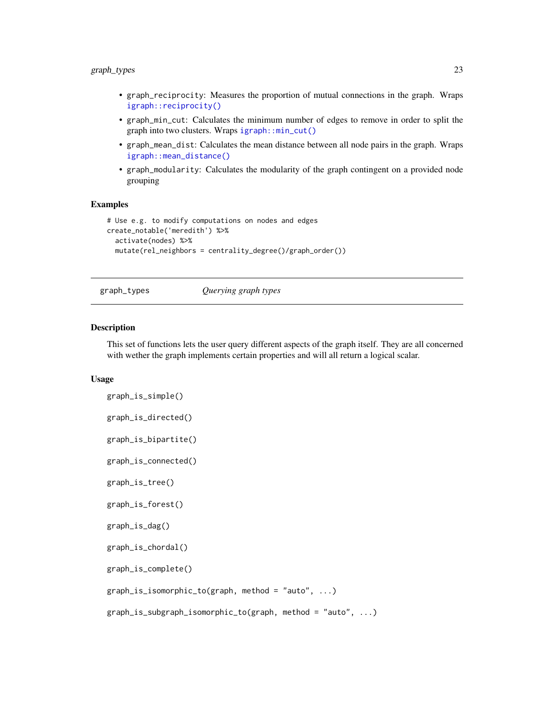# <span id="page-22-0"></span>graph\_types 23

- graph\_reciprocity: Measures the proportion of mutual connections in the graph. Wraps [igraph::reciprocity\(\)](#page-0-0)
- graph\_min\_cut: Calculates the minimum number of edges to remove in order to split the graph into two clusters. Wraps [igraph::min\\_cut\(\)](#page-0-0)
- graph\_mean\_dist: Calculates the mean distance between all node pairs in the graph. Wraps [igraph::mean\\_distance\(\)](#page-0-0)
- graph\_modularity: Calculates the modularity of the graph contingent on a provided node grouping

#### Examples

```
# Use e.g. to modify computations on nodes and edges
create_notable('meredith') %>%
  activate(nodes) %>%
  mutate(rel_neighbors = centrality_degree()/graph_order())
```
graph\_types *Querying graph types*

# Description

This set of functions lets the user query different aspects of the graph itself. They are all concerned with wether the graph implements certain properties and will all return a logical scalar.

#### Usage

```
graph_is_simple()
graph_is_directed()
graph_is_bipartite()
graph_is_connected()
graph_is_tree()
graph_is_forest()
graph_is_dag()
graph_is_chordal()
graph_is_complete()
graph_is_isomorphic_to(graph, method = "auto", ...)graph_is_subgraph_isomorphic_to(graph, method = "auto", ...)
```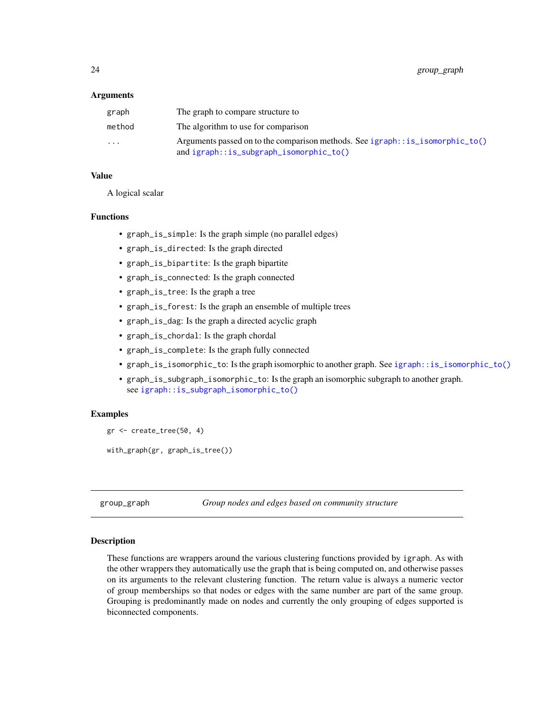#### <span id="page-23-0"></span>Arguments

| graph                   | The graph to compare structure to                                                                                                   |
|-------------------------|-------------------------------------------------------------------------------------------------------------------------------------|
| method                  | The algorithm to use for comparison                                                                                                 |
| $\cdot$ $\cdot$ $\cdot$ | Arguments passed on to the comparison methods. See $i$ graph:: $i$ s_isomorphic_to()<br>and $ignaph::is\_subgraph\_isomorphic_to()$ |

#### Value

A logical scalar

#### Functions

- graph\_is\_simple: Is the graph simple (no parallel edges)
- graph\_is\_directed: Is the graph directed
- graph\_is\_bipartite: Is the graph bipartite
- graph\_is\_connected: Is the graph connected
- graph\_is\_tree: Is the graph a tree
- graph\_is\_forest: Is the graph an ensemble of multiple trees
- graph\_is\_dag: Is the graph a directed acyclic graph
- graph\_is\_chordal: Is the graph chordal
- graph\_is\_complete: Is the graph fully connected
- graph\_is\_isomorphic\_to: Is the graph isomorphic to another graph. See [igraph::is\\_isomorphic\\_to\(\)](#page-0-0)
- graph\_is\_subgraph\_isomorphic\_to: Is the graph an isomorphic subgraph to another graph. see [igraph::is\\_subgraph\\_isomorphic\\_to\(\)](#page-0-0)

#### Examples

```
gr <- create_tree(50, 4)
with_graph(gr, graph_is_tree())
```
group\_graph *Group nodes and edges based on community structure*

#### Description

These functions are wrappers around the various clustering functions provided by igraph. As with the other wrappers they automatically use the graph that is being computed on, and otherwise passes on its arguments to the relevant clustering function. The return value is always a numeric vector of group memberships so that nodes or edges with the same number are part of the same group. Grouping is predominantly made on nodes and currently the only grouping of edges supported is biconnected components.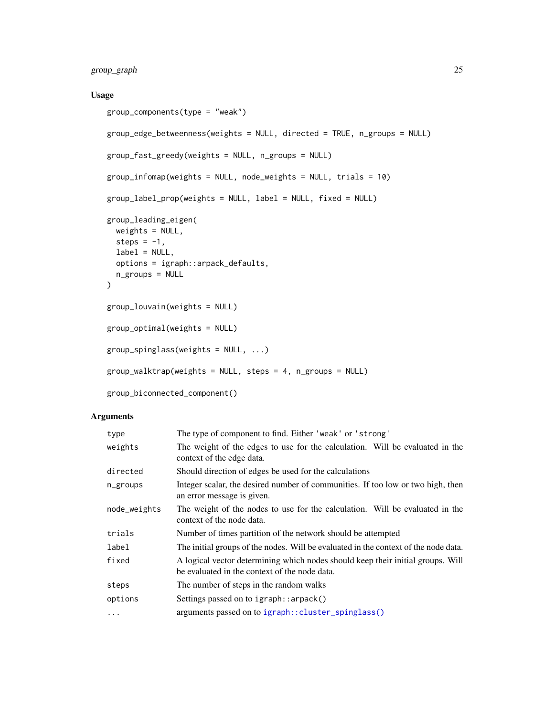# <span id="page-24-0"></span>group\_graph 25

# Usage

```
group_components(type = "weak")
group_edge_betweenness(weights = NULL, directed = TRUE, n_groups = NULL)
group_fast_greedy(weights = NULL, n_groups = NULL)
group_infomap(weights = NULL, node_weights = NULL, trials = 10)
group_label_prop(weights = NULL, label = NULL, fixed = NULL)
group_leading_eigen(
 weights = NULL,steps = -1,
 label = NULL,options = igraph::arpack_defaults,
 n_groups = NULL
\mathcal{L}group_louvain(weights = NULL)
group_optimal(weights = NULL)
group_spinglass(weights = NULL, ...)
group_walktrap(weights = NULL, steps = 4, n_groups = NULL)
group_biconnected_component()
```
#### Arguments

| type         | The type of component to find. Either 'weak' or 'strong'                                                                         |  |
|--------------|----------------------------------------------------------------------------------------------------------------------------------|--|
| weights      | The weight of the edges to use for the calculation. Will be evaluated in the<br>context of the edge data.                        |  |
| directed     | Should direction of edges be used for the calculations                                                                           |  |
| n_groups     | Integer scalar, the desired number of communities. If too low or two high, then<br>an error message is given.                    |  |
| node_weights | The weight of the nodes to use for the calculation. Will be evaluated in the<br>context of the node data.                        |  |
| trials       | Number of times partition of the network should be attempted                                                                     |  |
| label        | The initial groups of the nodes. Will be evaluated in the context of the node data.                                              |  |
| fixed        | A logical vector determining which nodes should keep their initial groups. Will<br>be evaluated in the context of the node data. |  |
| steps        | The number of steps in the random walks                                                                                          |  |
| options      | Settings passed on to igraph::arpack()                                                                                           |  |
| $\cdots$     | arguments passed on to igraph:: cluster_spinglass()                                                                              |  |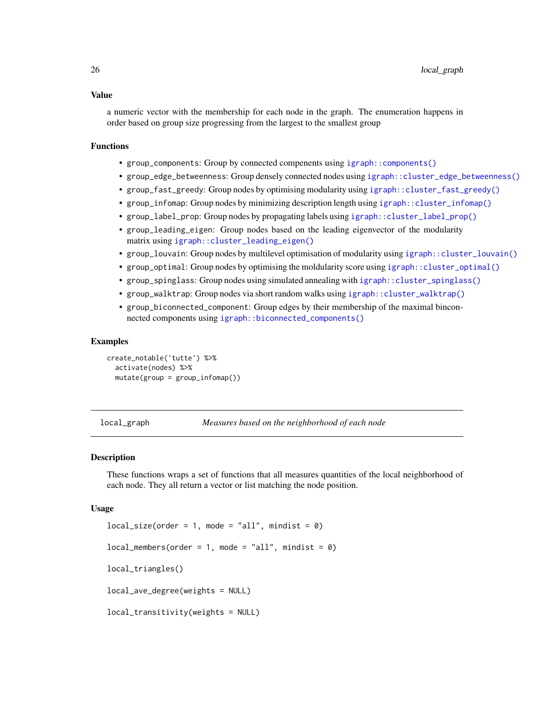#### <span id="page-25-0"></span>Value

a numeric vector with the membership for each node in the graph. The enumeration happens in order based on group size progressing from the largest to the smallest group

#### Functions

- group\_components: Group by connected compenents using [igraph::components\(\)](#page-0-0)
- group\_edge\_betweenness: Group densely connected nodes using [igraph::cluster\\_edge\\_betweenness\(\)](#page-0-0)
- group\_fast\_greedy: Group nodes by optimising modularity using [igraph::cluster\\_fast\\_greedy\(\)](#page-0-0)
- group\_infomap: Group nodes by minimizing description length using [igraph::cluster\\_infomap\(\)](#page-0-0)
- group\_label\_prop: Group nodes by propagating labels using [igraph::cluster\\_label\\_prop\(\)](#page-0-0)
- group\_leading\_eigen: Group nodes based on the leading eigenvector of the modularity matrix using [igraph::cluster\\_leading\\_eigen\(\)](#page-0-0)
- group\_louvain: Group nodes by multilevel optimisation of modularity using [igraph::cluster\\_louvain\(\)](#page-0-0)
- group\_optimal: Group nodes by optimising the moldularity score using [igraph::cluster\\_optimal\(\)](#page-0-0)
- group\_spinglass: Group nodes using simulated annealing with [igraph::cluster\\_spinglass\(\)](#page-0-0)
- group\_walktrap: Group nodes via short random walks using [igraph::cluster\\_walktrap\(\)](#page-0-0)
- group\_biconnected\_component: Group edges by their membership of the maximal binconnected components using [igraph::biconnected\\_components\(\)](#page-0-0)

#### Examples

```
create_notable('tutte') %>%
 activate(nodes) %>%
 mutate(group = group_infomap())
```
local\_graph *Measures based on the neighborhood of each node*

#### Description

These functions wraps a set of functions that all measures quantities of the local neighborhood of each node. They all return a vector or list matching the node position.

#### Usage

```
local_size(order = 1, mode = "all", mindist = 0)local\_members(order = 1, mode = "all", mindist = 0)local_triangles()
local_ave_degree(weights = NULL)
local_transitivity(weights = NULL)
```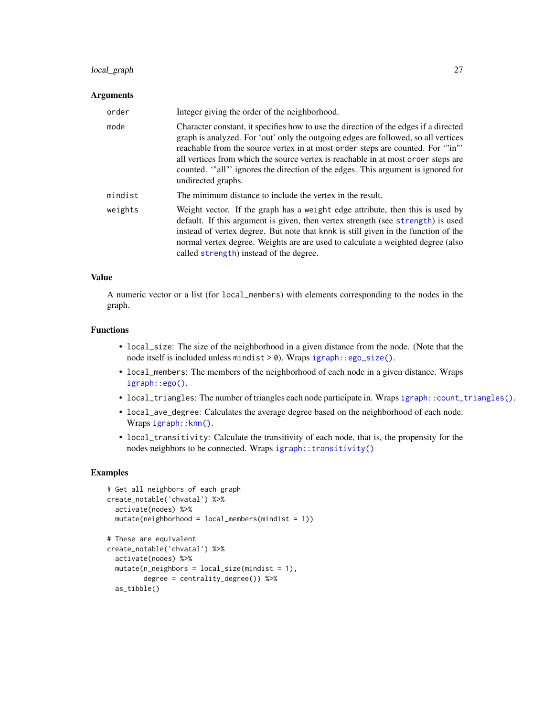# <span id="page-26-0"></span>local\_graph 27

# Arguments

| order   | Integer giving the order of the neighborhood.                                                                                                                                                                                                                                                                                                                                                                                                              |
|---------|------------------------------------------------------------------------------------------------------------------------------------------------------------------------------------------------------------------------------------------------------------------------------------------------------------------------------------------------------------------------------------------------------------------------------------------------------------|
| mode    | Character constant, it specifies how to use the direction of the edges if a directed<br>graph is analyzed. For 'out' only the outgoing edges are followed, so all vertices<br>reachable from the source vertex in at most order steps are counted. For "in"'<br>all vertices from which the source vertex is reachable in at most order steps are<br>counted. "all" ignores the direction of the edges. This argument is ignored for<br>undirected graphs. |
| mindist | The minimum distance to include the vertex in the result.                                                                                                                                                                                                                                                                                                                                                                                                  |
| weights | Weight vector. If the graph has a weight edge attribute, then this is used by<br>default. If this argument is given, then vertex strength (see strength) is used<br>instead of vertex degree. But note that knnk is still given in the function of the<br>normal vertex degree. Weights are are used to calculate a weighted degree (also<br>called strength) instead of the degree.                                                                       |

# Value

A numeric vector or a list (for local\_members) with elements corresponding to the nodes in the graph.

# Functions

- local\_size: The size of the neighborhood in a given distance from the node. (Note that the node itself is included unless mindist > 0). Wraps [igraph::ego\\_size\(\)](#page-0-0).
- local\_members: The members of the neighborhood of each node in a given distance. Wraps [igraph::ego\(\)](#page-0-0).
- local\_triangles: The number of triangles each node participate in. Wraps [igraph::count\\_triangles\(\)](#page-0-0).
- local\_ave\_degree: Calculates the average degree based on the neighborhood of each node. Wraps [igraph::knn\(\)](#page-0-0).
- local\_transitivity: Calculate the transitivity of each node, that is, the propensity for the nodes neighbors to be connected. Wraps [igraph::transitivity\(\)](#page-0-0)

# Examples

```
# Get all neighbors of each graph
create_notable('chvatal') %>%
 activate(nodes) %>%
 mutate(neighbourhood = local_meanbers(mindist = 1))# These are equivalent
create_notable('chvatal') %>%
 activate(nodes) %>%
 mutate(n_{neighbours} = local_size(mindist = 1),degree = centrality_degree()) %>%
 as_tibble()
```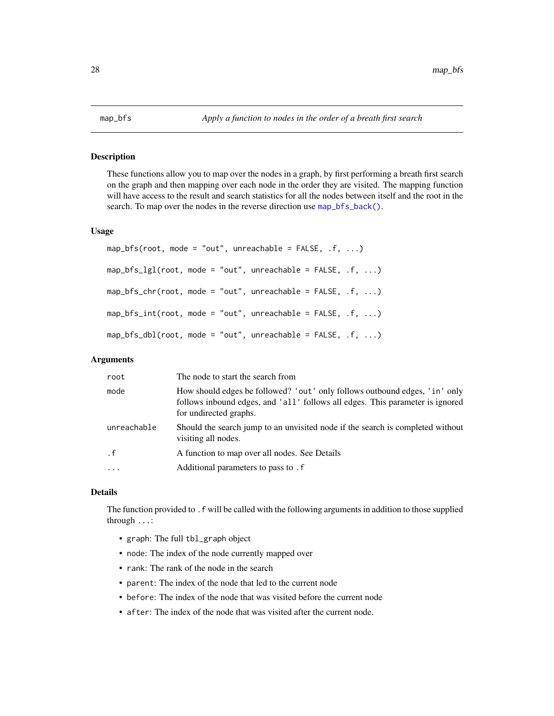### <span id="page-27-1"></span><span id="page-27-0"></span>Description

These functions allow you to map over the nodes in a graph, by first performing a breath first search on the graph and then mapping over each node in the order they are visited. The mapping function will have access to the result and search statistics for all the nodes between itself and the root in the search. To map over the nodes in the reverse direction use [map\\_bfs\\_back\(\)](#page-28-1).

#### Usage

```
map_bfs(root, mode = "out", unreachable = FALSE, f, ...map_bfs_lgl(root, mode = "out", unreachable = FALSE, .f, ...)map_bfs_cchr(root, mode = "out", unreachable = FALSE, .f, ...)map_bfs\_int(root, mode = "out", unreachable = FALSE, .f, ...)map_bfs_dbl(root, mode = "out", unreachable = FALSE, .f, ...)
```
#### Arguments

| root        | The node to start the search from                                                                                                                                                     |
|-------------|---------------------------------------------------------------------------------------------------------------------------------------------------------------------------------------|
| mode        | How should edges be followed? 'out' only follows outbound edges, 'in' only<br>follows inbound edges, and 'all' follows all edges. This parameter is ignored<br>for undirected graphs. |
| unreachable | Should the search jump to an unvisited node if the search is completed without<br>visiting all nodes.                                                                                 |
| $\cdot$ f   | A function to map over all nodes. See Details                                                                                                                                         |
| $\ddotsc$   | Additional parameters to pass to . f                                                                                                                                                  |

# Details

The function provided to .f will be called with the following arguments in addition to those supplied through ...:

- graph: The full tbl\_graph object
- node: The index of the node currently mapped over
- rank: The rank of the node in the search
- parent: The index of the node that led to the current node
- before: The index of the node that was visited before the current node
- after: The index of the node that was visited after the current node.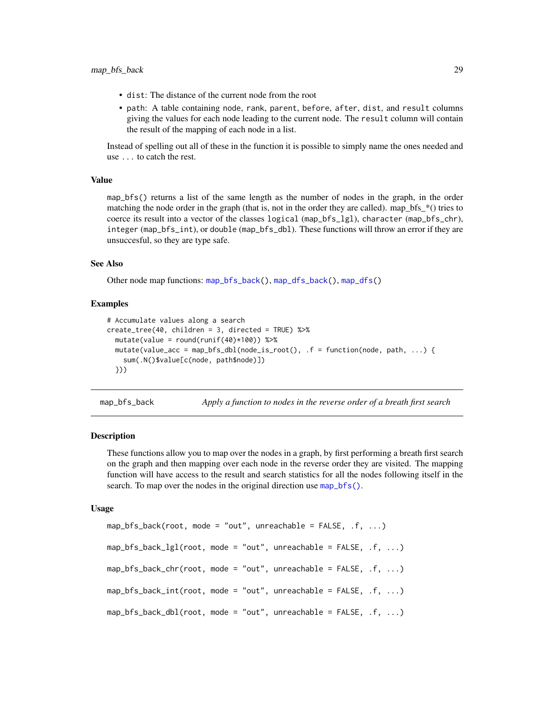- <span id="page-28-0"></span>• dist: The distance of the current node from the root
- path: A table containing node, rank, parent, before, after, dist, and result columns giving the values for each node leading to the current node. The result column will contain the result of the mapping of each node in a list.

Instead of spelling out all of these in the function it is possible to simply name the ones needed and use ... to catch the rest.

# Value

map\_bfs() returns a list of the same length as the number of nodes in the graph, in the order matching the node order in the graph (that is, not in the order they are called). map\_bfs\_\*() tries to coerce its result into a vector of the classes logical (map\_bfs\_lgl), character (map\_bfs\_chr), integer (map\_bfs\_int), or double (map\_bfs\_dbl). These functions will throw an error if they are unsuccesful, so they are type safe.

# See Also

Other node map functions: [map\\_bfs\\_back\(](#page-28-1)), [map\\_dfs\\_back\(](#page-31-1)), [map\\_dfs\(](#page-30-1))

#### Examples

```
# Accumulate values along a search
create_tree(40, children = 3, directed = TRUE) %>%
 mutate(value = round(runif(40)*100)) %>%
 mutate(value_acc = map_bfs_dbl(node_is_root(), .f = function(node, path, ...) {
    sum(.N()$value[c(node, path$node)])
 }))
```
<span id="page-28-1"></span>map\_bfs\_back *Apply a function to nodes in the reverse order of a breath first search*

#### Description

These functions allow you to map over the nodes in a graph, by first performing a breath first search on the graph and then mapping over each node in the reverse order they are visited. The mapping function will have access to the result and search statistics for all the nodes following itself in the search. To map over the nodes in the original direction use [map\\_bfs\(\)](#page-27-1).

#### Usage

```
map_bfs_back(root, mode = "out", unreachable = FALSE, .f, ...)map_bfs_back_lg1(root, mode = "out", unreachable = FALSE, .f, ...)map_bfs_back_cchr(root, mode = "out", unreachable = FALSE, .f, ...)map_bfs_back\_int(root, mode = "out", unreachable = FALSE, .f, ...)map_bfs_back_dbl(root, mode = "out", unreachable = FALSE, .f, ...)
```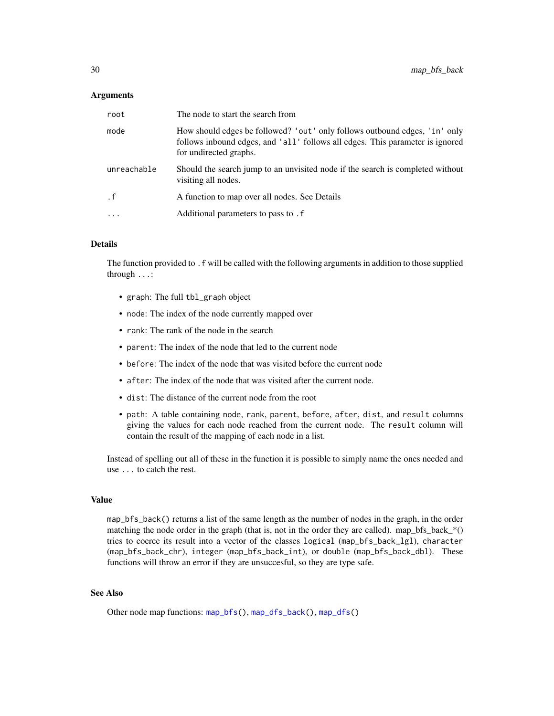#### <span id="page-29-0"></span>Arguments

| root        | The node to start the search from                                                                                                                                                     |
|-------------|---------------------------------------------------------------------------------------------------------------------------------------------------------------------------------------|
| mode        | How should edges be followed? 'out' only follows outbound edges, 'in' only<br>follows inbound edges, and 'all' follows all edges. This parameter is ignored<br>for undirected graphs. |
| unreachable | Should the search jump to an unvisited node if the search is completed without<br>visiting all nodes.                                                                                 |
| . f         | A function to map over all nodes. See Details                                                                                                                                         |
| $\ddotsc$   | Additional parameters to pass to . f                                                                                                                                                  |

# Details

The function provided to .f will be called with the following arguments in addition to those supplied through ...:

- graph: The full tbl\_graph object
- node: The index of the node currently mapped over
- rank: The rank of the node in the search
- parent: The index of the node that led to the current node
- before: The index of the node that was visited before the current node
- after: The index of the node that was visited after the current node.
- dist: The distance of the current node from the root
- path: A table containing node, rank, parent, before, after, dist, and result columns giving the values for each node reached from the current node. The result column will contain the result of the mapping of each node in a list.

Instead of spelling out all of these in the function it is possible to simply name the ones needed and use ... to catch the rest.

# Value

map\_bfs\_back() returns a list of the same length as the number of nodes in the graph, in the order matching the node order in the graph (that is, not in the order they are called). map\_bfs\_back\_ $*()$ tries to coerce its result into a vector of the classes logical (map\_bfs\_back\_lgl), character (map\_bfs\_back\_chr), integer (map\_bfs\_back\_int), or double (map\_bfs\_back\_dbl). These functions will throw an error if they are unsuccesful, so they are type safe.

# See Also

Other node map functions: [map\\_bfs\(](#page-27-1)), [map\\_dfs\\_back\(](#page-31-1)), [map\\_dfs\(](#page-30-1))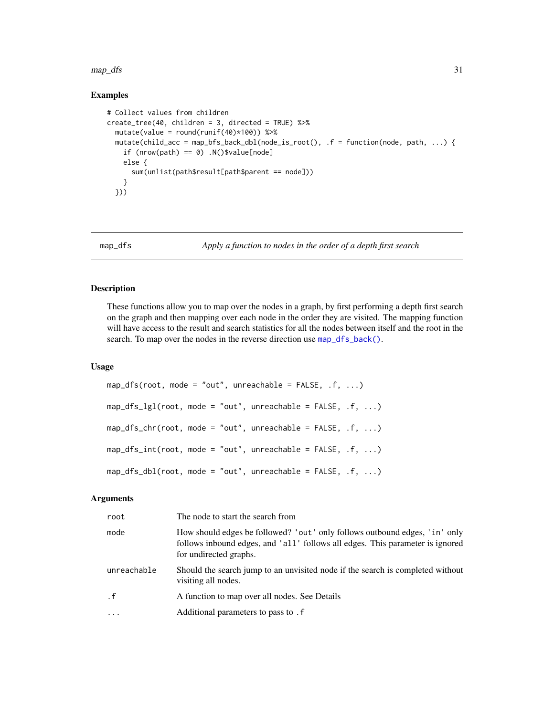#### <span id="page-30-0"></span> $map\_dfs$  31

# Examples

```
# Collect values from children
create_tree(40, children = 3, directed = TRUE) %>%
  mutate(value = round(runif(40)*100)) %>%
  mutate(child_acc = map_bfs_back_dbl(node_is_root(), .f = function(node, path, ...) {
    if (nrow(path) == 0) .N()$value[node]
   else {
      sum(unlist(path$result[path$parent == node]))
    }
  }))
```
<span id="page-30-1"></span>map\_dfs *Apply a function to nodes in the order of a depth first search*

# Description

These functions allow you to map over the nodes in a graph, by first performing a depth first search on the graph and then mapping over each node in the order they are visited. The mapping function will have access to the result and search statistics for all the nodes between itself and the root in the search. To map over the nodes in the reverse direction use map\_df s\_back().

#### Usage

```
map_dfs(root, mode = "out", unreachable = FALSE, .f, ...)map_dfs_lgl(root, mode = "out", unreachable = FALSE, .f, ...)map_dfs_chr(root, mode = "out", unreachable = FALSE, .f, ...)map_dfs\_int(root, mode = "out", unreachable = FALSE, .f, ...)map_dfs_dbl(root, mode = "out", unreachable = FALSE, .f, ...)
```
#### Arguments

| root        | The node to start the search from                                                                                                                                                     |
|-------------|---------------------------------------------------------------------------------------------------------------------------------------------------------------------------------------|
| mode        | How should edges be followed? 'out' only follows outbound edges, 'in' only<br>follows inbound edges, and 'all' follows all edges. This parameter is ignored<br>for undirected graphs. |
| unreachable | Should the search jump to an unvisited node if the search is completed without<br>visiting all nodes.                                                                                 |
| $\cdot$ f   | A function to map over all nodes. See Details                                                                                                                                         |
| $\cdot$     | Additional parameters to pass to . f                                                                                                                                                  |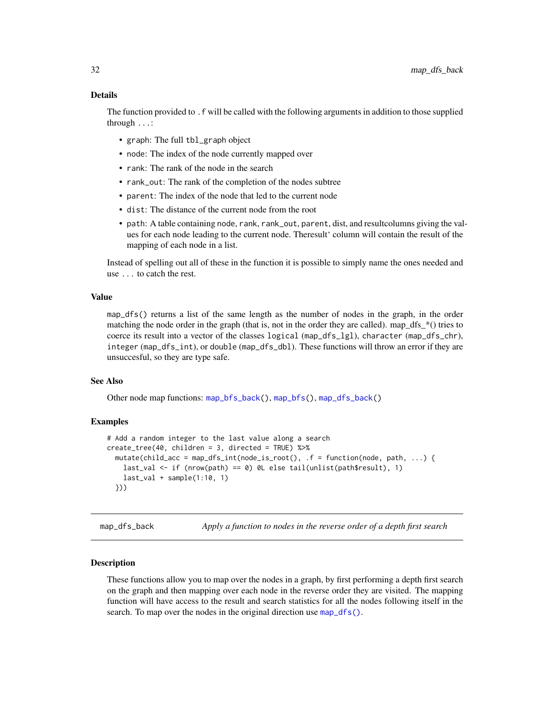<span id="page-31-0"></span>The function provided to .f will be called with the following arguments in addition to those supplied through ...:

- graph: The full tbl\_graph object
- node: The index of the node currently mapped over
- rank: The rank of the node in the search
- rank\_out: The rank of the completion of the nodes subtree
- parent: The index of the node that led to the current node
- dist: The distance of the current node from the root
- path: A table containing node, rank, rank\_out, parent, dist, and resultcolumns giving the values for each node leading to the current node. Theresult' column will contain the result of the mapping of each node in a list.

Instead of spelling out all of these in the function it is possible to simply name the ones needed and use ... to catch the rest.

#### Value

map\_dfs() returns a list of the same length as the number of nodes in the graph, in the order matching the node order in the graph (that is, not in the order they are called). map\_dfs\_ $*($ ) tries to coerce its result into a vector of the classes logical (map\_dfs\_lgl), character (map\_dfs\_chr), integer (map\_dfs\_int), or double (map\_dfs\_dbl). These functions will throw an error if they are unsuccesful, so they are type safe.

# See Also

Other node map functions: [map\\_bfs\\_back\(](#page-28-1)), [map\\_bfs\(](#page-27-1)), [map\\_dfs\\_back\(](#page-31-1))

#### Examples

```
# Add a random integer to the last value along a search
create_tree(40, children = 3, directed = TRUE) %>%
 mutate(child_acc = map_dfs_int(node_is_root(), .f = function(node, path, ...) {
   last_val <- if (nrow(path) == 0) 0L else tail(unlist(path$result), 1)
   last_val + sample(1:10, 1)}))
```
<span id="page-31-1"></span>map\_dfs\_back *Apply a function to nodes in the reverse order of a depth first search*

#### Description

These functions allow you to map over the nodes in a graph, by first performing a depth first search on the graph and then mapping over each node in the reverse order they are visited. The mapping function will have access to the result and search statistics for all the nodes following itself in the search. To map over the nodes in the original direction use map\_df s().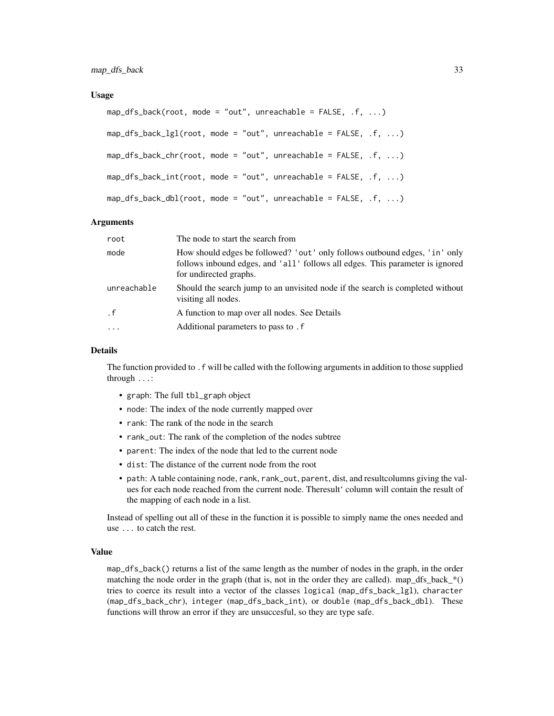#### Usage

```
map_dfs_back(root, mode = "out", unreachable = FALSE, .f, ...)map_dfs_back_lgl(root, mode = "out", unreachable = FALSE, .f, ...)
map_dfs_back_chr(root, mode = "out", unreachable = FALSE, .f, ...)
map_dfs_back\_int(root, mode = "out", unreachable = FALSE, .f, ...)map_dfs_back_dbl(root, mode = "out", unreachable = FALSE, .f, ...)
```
## Arguments

| root                                                                                                                                                                                          | The node to start the search from                                                                     |
|-----------------------------------------------------------------------------------------------------------------------------------------------------------------------------------------------|-------------------------------------------------------------------------------------------------------|
| mode<br>How should edges be followed? 'out' only follows outbound edges, 'in' only<br>follows inbound edges, and 'all' follows all edges. This parameter is ignored<br>for undirected graphs. |                                                                                                       |
| unreachable                                                                                                                                                                                   | Should the search jump to an unvisited node if the search is completed without<br>visiting all nodes. |
| $\cdot$ f                                                                                                                                                                                     | A function to map over all nodes. See Details                                                         |
| $\cdot$                                                                                                                                                                                       | Additional parameters to pass to . f                                                                  |

#### Details

The function provided to .f will be called with the following arguments in addition to those supplied through ...:

- graph: The full tbl\_graph object
- node: The index of the node currently mapped over
- rank: The rank of the node in the search
- rank\_out: The rank of the completion of the nodes subtree
- parent: The index of the node that led to the current node
- dist: The distance of the current node from the root
- path: A table containing node, rank, rank\_out, parent, dist, and resultcolumns giving the values for each node reached from the current node. Theresult' column will contain the result of the mapping of each node in a list.

Instead of spelling out all of these in the function it is possible to simply name the ones needed and use ... to catch the rest.

# Value

map\_dfs\_back() returns a list of the same length as the number of nodes in the graph, in the order matching the node order in the graph (that is, not in the order they are called). map dfs back  $*($ tries to coerce its result into a vector of the classes logical (map\_dfs\_back\_lgl), character (map\_dfs\_back\_chr), integer (map\_dfs\_back\_int), or double (map\_dfs\_back\_dbl). These functions will throw an error if they are unsuccesful, so they are type safe.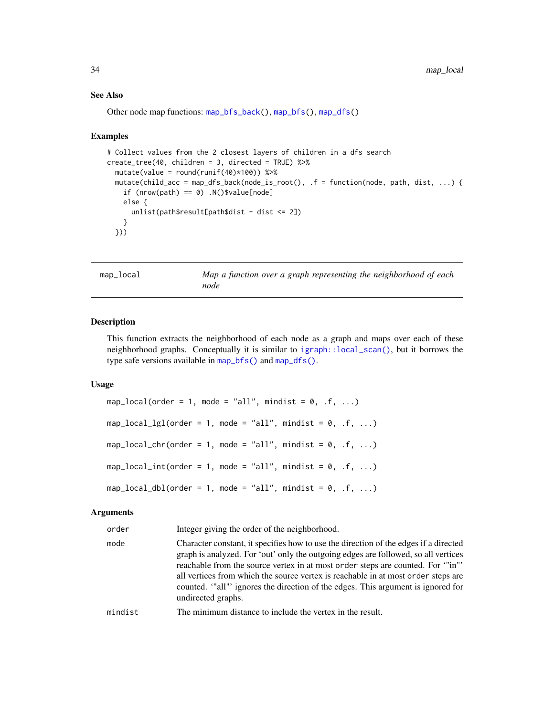#### See Also

Other node map functions: [map\\_bfs\\_back\(](#page-28-1)), [map\\_bfs\(](#page-27-1)), [map\\_dfs\(](#page-30-1))

#### Examples

```
# Collect values from the 2 closest layers of children in a dfs search
create_tree(40, children = 3, directed = TRUE) %>%
  mutate(value = round(runif(40)*100)) %>%
  mutate(child_acc = map_dfs_back(node_is_root(), .f = function(node, path, dist, ...) {
   if (nrow(path) == 0) .N()$value[node]
   else {
      unlist(path$result[path$dist - dist <= 2])}
  }))
```
map\_local *Map a function over a graph representing the neighborhood of each node*

#### Description

This function extracts the neighborhood of each node as a graph and maps over each of these neighborhood graphs. Conceptually it is similar to [igraph::local\\_scan\(\)](#page-0-0), but it borrows the type safe versions available in [map\\_bfs\(\)](#page-27-1) and [map\\_dfs\(\)](#page-30-1).

#### Usage

```
map_local(order = 1, mode = "all", mindist = 0, .f, ...)
map\_local\_lgl(order = 1, mode = "all", mindist = 0, .f, ...)map\_local\_chr(order = 1, mode = "all", mindist = 0, .f, ...)map\_local\_int(order = 1, mode = "all", mindist = 0, .f, ...)map\_local\_dbl(order = 1, mode = "all", mindist = 0, .f, ...)
```
### Arguments

| order   | Integer giving the order of the neighborhood.                                                                                                                                                                                                                                                                                                                                                                                                              |
|---------|------------------------------------------------------------------------------------------------------------------------------------------------------------------------------------------------------------------------------------------------------------------------------------------------------------------------------------------------------------------------------------------------------------------------------------------------------------|
| mode    | Character constant, it specifies how to use the direction of the edges if a directed<br>graph is analyzed. For 'out' only the outgoing edges are followed, so all vertices<br>reachable from the source vertex in at most order steps are counted. For ""in"<br>all vertices from which the source vertex is reachable in at most order steps are<br>counted. "all" ignores the direction of the edges. This argument is ignored for<br>undirected graphs. |
| mindist | The minimum distance to include the vertex in the result.                                                                                                                                                                                                                                                                                                                                                                                                  |

<span id="page-33-0"></span>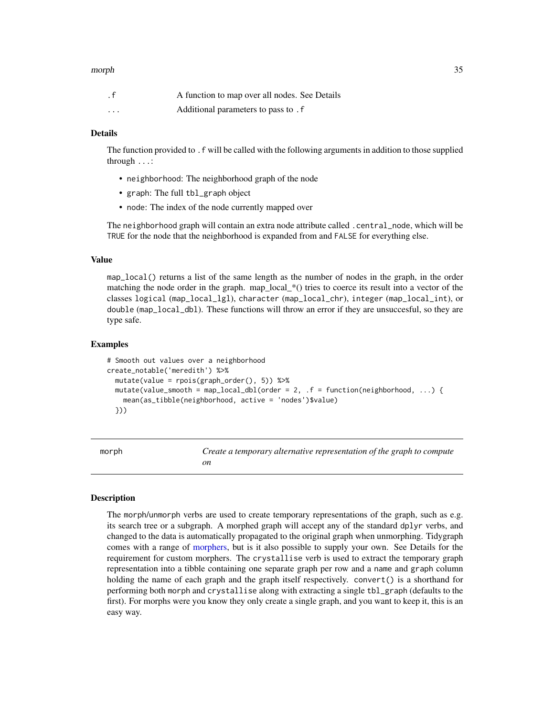#### <span id="page-34-0"></span>morph 35

| . $\mathsf f$ | A function to map over all nodes. See Details |  |
|---------------|-----------------------------------------------|--|
| $\cdots$      | Additional parameters to pass to . f          |  |

#### Details

The function provided to .f will be called with the following arguments in addition to those supplied through ...:

- neighborhood: The neighborhood graph of the node
- graph: The full tbl\_graph object
- node: The index of the node currently mapped over

The neighborhood graph will contain an extra node attribute called .central\_node, which will be TRUE for the node that the neighborhood is expanded from and FALSE for everything else.

#### Value

map\_local() returns a list of the same length as the number of nodes in the graph, in the order matching the node order in the graph. map\_local\_ $*($ ) tries to coerce its result into a vector of the classes logical (map\_local\_lgl), character (map\_local\_chr), integer (map\_local\_int), or double (map\_local\_dbl). These functions will throw an error if they are unsuccesful, so they are type safe.

#### Examples

```
# Smooth out values over a neighborhood
create_notable('meredith') %>%
 mutate(value = rpois(graph_order(), 5)) %>%
 mutate(value_smooth = map_local_dbl(order = 2, .f = function(neighborhood, ...) {
   mean(as_tibble(neighborhood, active = 'nodes')$value)
 }))
```
<span id="page-34-1"></span>morph *Create a temporary alternative representation of the graph to compute on*

# Description

The morph/unmorph verbs are used to create temporary representations of the graph, such as e.g. its search tree or a subgraph. A morphed graph will accept any of the standard dplyr verbs, and changed to the data is automatically propagated to the original graph when unmorphing. Tidygraph comes with a range of [morphers,](#page-36-1) but is it also possible to supply your own. See Details for the requirement for custom morphers. The crystallise verb is used to extract the temporary graph representation into a tibble containing one separate graph per row and a name and graph column holding the name of each graph and the graph itself respectively. convert() is a shorthand for performing both morph and crystallise along with extracting a single tbl\_graph (defaults to the first). For morphs were you know they only create a single graph, and you want to keep it, this is an easy way.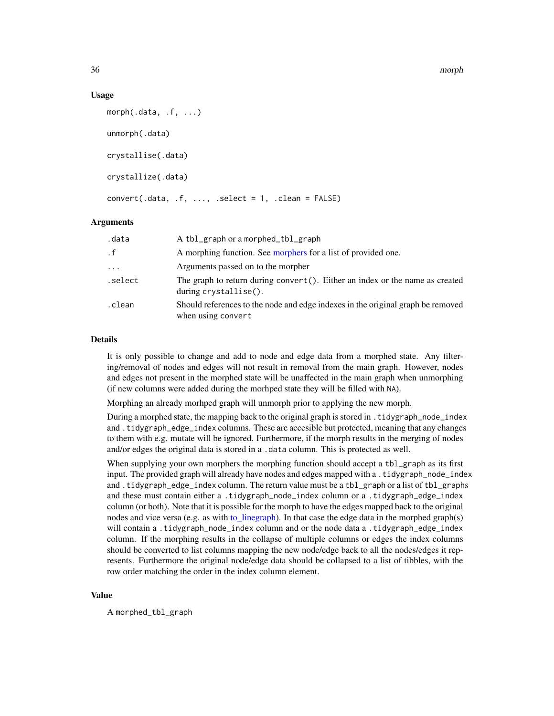#### Usage

```
morph(.data, .f, ...)
unmorph(.data)
crystallise(.data)
crystallize(.data)
convert(.data, .f, . . . , .select = 1, .clear = FALSE)
```
# Arguments

| .data     | A tbl_graph or a morphed_tbl_graph                                                                        |
|-----------|-----------------------------------------------------------------------------------------------------------|
| $\cdot$ f | A morphing function. See morphers for a list of provided one.                                             |
| $\cdots$  | Arguments passed on to the morpher                                                                        |
| .select   | The graph to return during convert $()$ . Either an index or the name as created<br>during crystallise(). |
| .clean    | Should references to the node and edge indexes in the original graph be removed<br>when using convert     |

### Details

It is only possible to change and add to node and edge data from a morphed state. Any filtering/removal of nodes and edges will not result in removal from the main graph. However, nodes and edges not present in the morphed state will be unaffected in the main graph when unmorphing (if new columns were added during the morhped state they will be filled with NA).

Morphing an already morhped graph will unmorph prior to applying the new morph.

During a morphed state, the mapping back to the original graph is stored in .tidygraph\_node\_index and .tidygraph\_edge\_index columns. These are accesible but protected, meaning that any changes to them with e.g. mutate will be ignored. Furthermore, if the morph results in the merging of nodes and/or edges the original data is stored in a .data column. This is protected as well.

When supplying your own morphers the morphing function should accept a tbl\_graph as its first input. The provided graph will already have nodes and edges mapped with a .tidygraph\_node\_index and .tidygraph\_edge\_index column. The return value must be a tbl\_graph or a list of tbl\_graphs and these must contain either a .tidygraph\_node\_index column or a .tidygraph\_edge\_index column (or both). Note that it is possible for the morph to have the edges mapped back to the original nodes and vice versa (e.g. as with [to\\_linegraph\)](#page-36-2). In that case the edge data in the morphed graph(s) will contain a .tidygraph\_node\_index column and or the node data a .tidygraph\_edge\_index column. If the morphing results in the collapse of multiple columns or edges the index columns should be converted to list columns mapping the new node/edge back to all the nodes/edges it represents. Furthermore the original node/edge data should be collapsed to a list of tibbles, with the row order matching the order in the index column element.

#### Value

A morphed\_tbl\_graph

<span id="page-35-0"></span>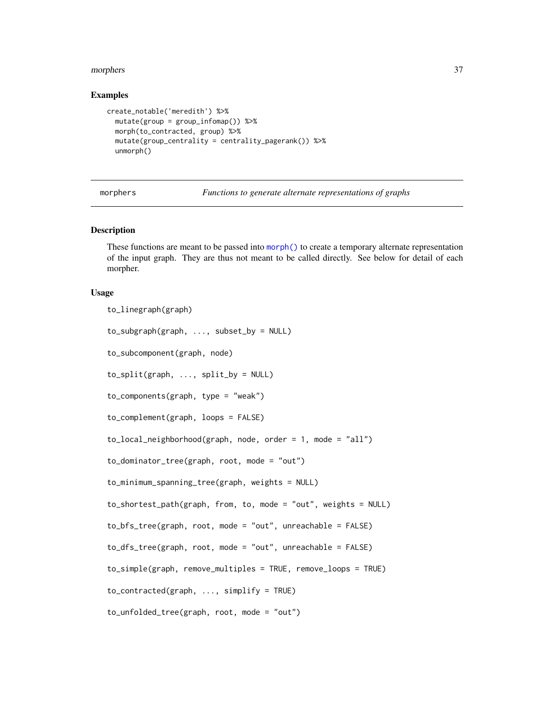#### <span id="page-36-0"></span>morphers 37

#### Examples

```
create_notable('meredith') %>%
  mutate(group = group_infomap()) %>%
  morph(to_contracted, group) %>%
  mutate(group_centrality = centrality_pagerank()) %>%
  unmorph()
```
<span id="page-36-1"></span>morphers *Functions to generate alternate representations of graphs*

#### <span id="page-36-2"></span>Description

These functions are meant to be passed into [morph\(\)](#page-34-1) to create a temporary alternate representation of the input graph. They are thus not meant to be called directly. See below for detail of each morpher.

# Usage

```
to_linegraph(graph)
to_subgraph(graph, ..., subset_by = NULL)
to_subcomponent(graph, node)
to_split(graph, ..., split_by = NULL)
to_components(graph, type = "weak")
to_complement(graph, loops = FALSE)
to_local_neighborhood(graph, node, order = 1, mode = "all")
to_dominator_tree(graph, root, mode = "out")
to_minimum_spanning_tree(graph, weights = NULL)
to_shortest_path(graph, from, to, mode = "out", weights = NULL)
to_bfs_tree(graph, root, mode = "out", unreachable = FALSE)
to_dfs_tree(graph, root, mode = "out", unreachable = FALSE)
to_simple(graph, remove_multiples = TRUE, remove_loops = TRUE)
to_contracted(graph, ..., simplify = TRUE)
to_unfolded_tree(graph, root, mode = "out")
```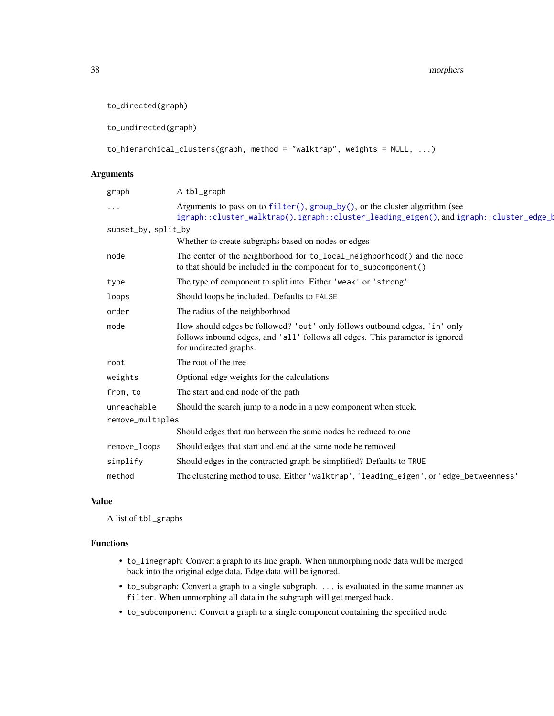```
to_directed(graph)
```
to\_undirected(graph)

```
to_hierarchical_clusters(graph, method = "walktrap", weights = NULL, ...)
```
# Arguments

| graph               | A tbl_graph                                                                                                                                                                           |  |
|---------------------|---------------------------------------------------------------------------------------------------------------------------------------------------------------------------------------|--|
| $\cdots$            | Arguments to pass on to $filter()$ , $group_by()$ , or the cluster algorithm (see<br>igraph::cluster_walktrap(),igraph::cluster_leading_eigen(),andigraph::cluster_edge_t             |  |
| subset_by, split_by |                                                                                                                                                                                       |  |
|                     | Whether to create subgraphs based on nodes or edges                                                                                                                                   |  |
| node                | The center of the neighborhood for to_local_neighborhood() and the node<br>to that should be included in the component for to_subcomponent()                                          |  |
| type                | The type of component to split into. Either 'weak' or 'strong'                                                                                                                        |  |
| loops               | Should loops be included. Defaults to FALSE                                                                                                                                           |  |
| order               | The radius of the neighborhood                                                                                                                                                        |  |
| mode                | How should edges be followed? 'out' only follows outbound edges, 'in' only<br>follows inbound edges, and 'all' follows all edges. This parameter is ignored<br>for undirected graphs. |  |
| root                | The root of the tree                                                                                                                                                                  |  |
| weights             | Optional edge weights for the calculations                                                                                                                                            |  |
| from, to            | The start and end node of the path                                                                                                                                                    |  |
| unreachable         | Should the search jump to a node in a new component when stuck.                                                                                                                       |  |
| remove_multiples    |                                                                                                                                                                                       |  |
|                     | Should edges that run between the same nodes be reduced to one                                                                                                                        |  |
| remove_loops        | Should edges that start and end at the same node be removed                                                                                                                           |  |
| simplify            | Should edges in the contracted graph be simplified? Defaults to TRUE                                                                                                                  |  |
| method              | The clustering method to use. Either 'walktrap', 'leading_eigen', or 'edge_betweenness'                                                                                               |  |
|                     |                                                                                                                                                                                       |  |

# Value

A list of tbl\_graphs

# Functions

- to\_linegraph: Convert a graph to its line graph. When unmorphing node data will be merged back into the original edge data. Edge data will be ignored.
- to\_subgraph: Convert a graph to a single subgraph. ... is evaluated in the same manner as filter. When unmorphing all data in the subgraph will get merged back.
- to\_subcomponent: Convert a graph to a single component containing the specified node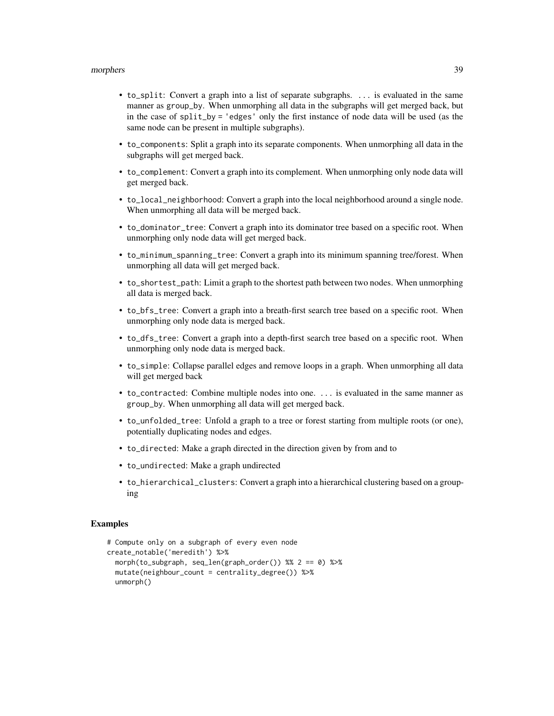#### morphers 39

- to\_split: Convert a graph into a list of separate subgraphs. ... is evaluated in the same manner as group\_by. When unmorphing all data in the subgraphs will get merged back, but in the case of split\_by = 'edges' only the first instance of node data will be used (as the same node can be present in multiple subgraphs).
- to\_components: Split a graph into its separate components. When unmorphing all data in the subgraphs will get merged back.
- to\_complement: Convert a graph into its complement. When unmorphing only node data will get merged back.
- to\_local\_neighborhood: Convert a graph into the local neighborhood around a single node. When unmorphing all data will be merged back.
- to\_dominator\_tree: Convert a graph into its dominator tree based on a specific root. When unmorphing only node data will get merged back.
- to\_minimum\_spanning\_tree: Convert a graph into its minimum spanning tree/forest. When unmorphing all data will get merged back.
- to\_shortest\_path: Limit a graph to the shortest path between two nodes. When unmorphing all data is merged back.
- to\_bfs\_tree: Convert a graph into a breath-first search tree based on a specific root. When unmorphing only node data is merged back.
- to\_dfs\_tree: Convert a graph into a depth-first search tree based on a specific root. When unmorphing only node data is merged back.
- to\_simple: Collapse parallel edges and remove loops in a graph. When unmorphing all data will get merged back
- to\_contracted: Combine multiple nodes into one. ... is evaluated in the same manner as group\_by. When unmorphing all data will get merged back.
- to\_unfolded\_tree: Unfold a graph to a tree or forest starting from multiple roots (or one), potentially duplicating nodes and edges.
- to\_directed: Make a graph directed in the direction given by from and to
- to\_undirected: Make a graph undirected
- to\_hierarchical\_clusters: Convert a graph into a hierarchical clustering based on a grouping

#### Examples

```
# Compute only on a subgraph of every even node
create_notable('meredith') %>%
 morph(to_subgraph, seq_len(graph_order()) %% 2 == 0) %>%
 mutate(neighbour_count = centrality_degree()) %>%
 unmorph()
```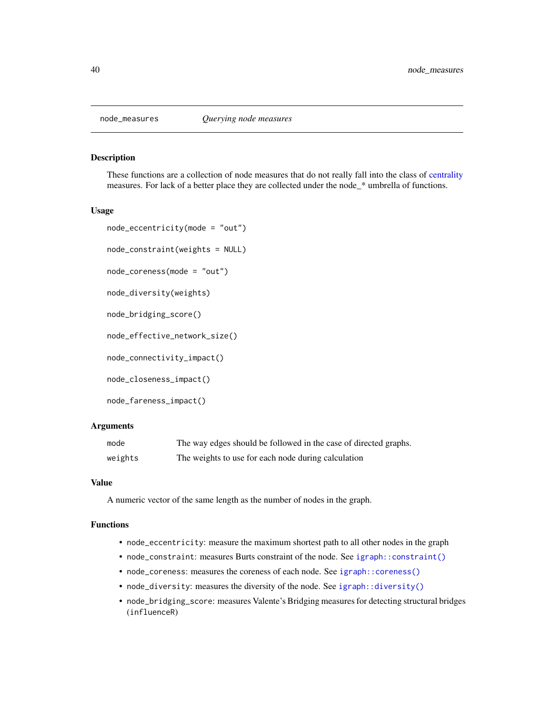<span id="page-39-0"></span>

#### Description

These functions are a collection of node measures that do not really fall into the class of [centrality](#page-6-1) measures. For lack of a better place they are collected under the node\_\* umbrella of functions.

#### Usage

```
node_eccentricity(mode = "out")
```

```
node_constraint(weights = NULL)
```

```
node_coreness(mode = "out")
```

```
node_diversity(weights)
```
node\_bridging\_score()

node\_effective\_network\_size()

node\_connectivity\_impact()

node\_closeness\_impact()

```
node_fareness_impact()
```
# Arguments

| mode    | The way edges should be followed in the case of directed graphs. |
|---------|------------------------------------------------------------------|
| weights | The weights to use for each node during calculation              |

# Value

A numeric vector of the same length as the number of nodes in the graph.

#### Functions

- node\_eccentricity: measure the maximum shortest path to all other nodes in the graph
- node\_constraint: measures Burts constraint of the node. See [igraph::constraint\(\)](#page-0-0)
- node\_coreness: measures the coreness of each node. See [igraph::coreness\(\)](#page-0-0)
- node\_diversity: measures the diversity of the node. See [igraph::diversity\(\)](#page-0-0)
- node\_bridging\_score: measures Valente's Bridging measures for detecting structural bridges (influenceR)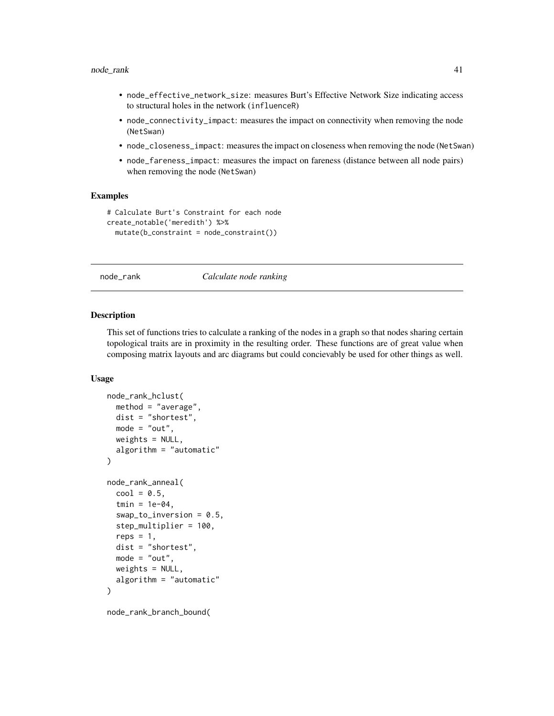- <span id="page-40-0"></span>• node\_effective\_network\_size: measures Burt's Effective Network Size indicating access to structural holes in the network (influenceR)
- node\_connectivity\_impact: measures the impact on connectivity when removing the node (NetSwan)
- node\_closeness\_impact: measures the impact on closeness when removing the node (NetSwan)
- node\_fareness\_impact: measures the impact on fareness (distance between all node pairs) when removing the node (NetSwan)

#### Examples

```
# Calculate Burt's Constraint for each node
create_notable('meredith') %>%
 mutate(b_constraint = node_constraint())
```
#### node\_rank *Calculate node ranking*

#### Description

This set of functions tries to calculate a ranking of the nodes in a graph so that nodes sharing certain topological traits are in proximity in the resulting order. These functions are of great value when composing matrix layouts and arc diagrams but could concievably be used for other things as well.

#### Usage

```
node_rank_hclust(
 method = "average",
 dist = "shortest",
 mode = "out",weights = NULL,
  algorithm = "automatic"
\lambdanode_rank_anneal(
  cool = 0.5,
  tmin = 1e-04,
  swap_to_inversion = 0.5,
  step_multiplier = 100,
  reps = 1,
  dist = "shortest",
 mode = "out",
 weights = NULL,
  algorithm = "automatic"
)
```
node\_rank\_branch\_bound(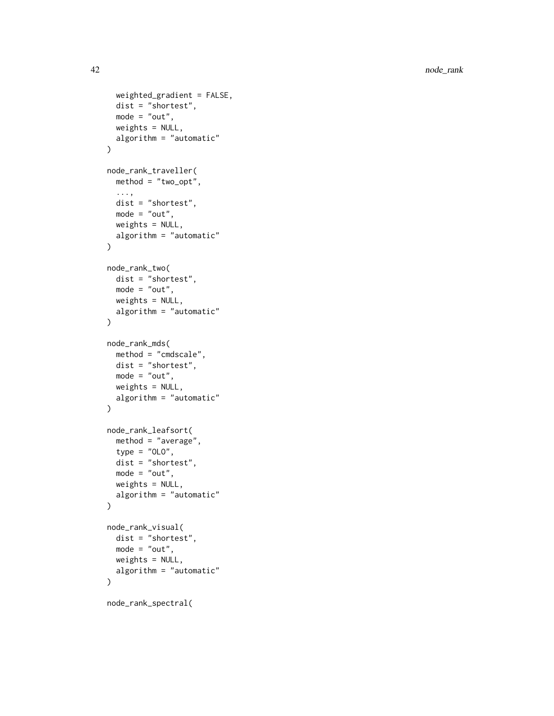```
weighted_gradient = FALSE,
  dist = "shortest",
 mode = "out",weights = NULL,
  algorithm = "automatic"
\mathcal{L}node_rank_traveller(
 method = "two-opt",...,
 dist = "shortest",
 mode = "out",weights = NULL,
 algorithm = "automatic"
\lambdanode_rank_two(
 dist = "shortest",
 mode = "out",weights = NULL,algorithm = "automatic"
\mathcal{L}node_rank_mds(
 method = "cmdscale",
 dist = "shortest",
 mode = "out",weights = NULL,
 algorithm = "automatic"
\mathcal{L}node_rank_leafsort(
 method = "average",
  type = "0L0",dist = "shortest",
 mode = "out",weights = NULL,algorithm = "automatic"
\mathcal{L}node_rank_visual(
 dist = "shortest",
 mode = "out",weights = NULL,
 algorithm = "automatic"
\mathcal{L}
```
node\_rank\_spectral(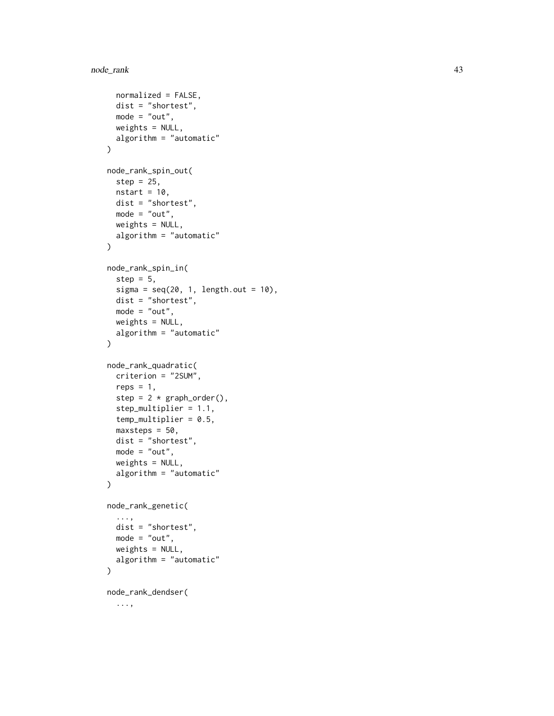```
normalized = FALSE,
  dist = "shortest",
 mode = "out",weights = NULL,
  algorithm = "automatic"
\mathcal{L}node_rank_spin_out(
  step = 25,
 nstart = 10,
 dist = "shortest",
 mode = "out",weights = NULL,
 algorithm = "automatic"
)
node_rank_spin_in(
  step = 5,
  sigma = seq(20, 1, length.out = 10),
  dist = "shortest",mode = "out",weights = NULL,
 algorithm = "automatic"
\mathcal{L}node_rank_quadratic(
  criterion = "2SUM",
  reps = 1,
  step = 2 * graphįorder(),
  step_multiplier = 1.1,
  temp_multiplier = 0.5,
 maxsteps = 50,
 dist = "shortest",
 mode = "out",weights = NULL,
 algorithm = "automatic"
)
node_rank_genetic(
  ...,
 dist = "shortest",
 mode = "out",weights = NULL,algorithm = "automatic"
\lambdanode_rank_dendser(
  ...,
```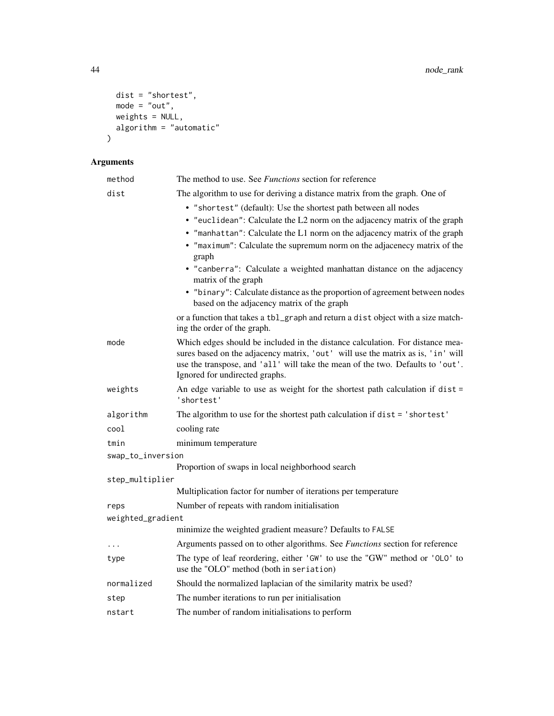```
dist = "shortest",
   mode = "out",
   weights = NULL,
   algorithm = "automatic"
\overline{)}
```
# Arguments

| method            | The method to use. See <i>Functions</i> section for reference                                                                                                                                                                                                                        |  |
|-------------------|--------------------------------------------------------------------------------------------------------------------------------------------------------------------------------------------------------------------------------------------------------------------------------------|--|
| dist              | The algorithm to use for deriving a distance matrix from the graph. One of                                                                                                                                                                                                           |  |
|                   | • "shortest" (default): Use the shortest path between all nodes                                                                                                                                                                                                                      |  |
|                   | • "euclidean": Calculate the L2 norm on the adjacency matrix of the graph                                                                                                                                                                                                            |  |
|                   | • "manhattan": Calculate the L1 norm on the adjacency matrix of the graph                                                                                                                                                                                                            |  |
|                   | • "maximum": Calculate the supremum norm on the adjacenecy matrix of the<br>graph                                                                                                                                                                                                    |  |
|                   | • "canberra": Calculate a weighted manhattan distance on the adjacency<br>matrix of the graph                                                                                                                                                                                        |  |
|                   | • "binary": Calculate distance as the proportion of agreement between nodes<br>based on the adjacency matrix of the graph                                                                                                                                                            |  |
|                   | or a function that takes a tbl_graph and return a dist object with a size match-<br>ing the order of the graph.                                                                                                                                                                      |  |
| mode              | Which edges should be included in the distance calculation. For distance mea-<br>sures based on the adjacency matrix, 'out' will use the matrix as is, 'in' will<br>use the transpose, and 'all' will take the mean of the two. Defaults to 'out'.<br>Ignored for undirected graphs. |  |
| weights           | An edge variable to use as weight for the shortest path calculation if $dist =$<br>'shortest'                                                                                                                                                                                        |  |
| algorithm         | The algorithm to use for the shortest path calculation if dist = 'shortest'                                                                                                                                                                                                          |  |
| cool              | cooling rate                                                                                                                                                                                                                                                                         |  |
| tmin              | minimum temperature                                                                                                                                                                                                                                                                  |  |
| swap_to_inversion |                                                                                                                                                                                                                                                                                      |  |
|                   | Proportion of swaps in local neighborhood search                                                                                                                                                                                                                                     |  |
| step_multiplier   |                                                                                                                                                                                                                                                                                      |  |
|                   | Multiplication factor for number of iterations per temperature                                                                                                                                                                                                                       |  |
| reps              | Number of repeats with random initialisation                                                                                                                                                                                                                                         |  |
| weighted_gradient | minimize the weighted gradient measure? Defaults to FALSE                                                                                                                                                                                                                            |  |
|                   | Arguments passed on to other algorithms. See Functions section for reference                                                                                                                                                                                                         |  |
| $\cdots$          |                                                                                                                                                                                                                                                                                      |  |
| type              | The type of leaf reordering, either 'GW' to use the "GW" method or 'OLO' to<br>use the "OLO" method (both in seriation)                                                                                                                                                              |  |
| normalized        | Should the normalized laplacian of the similarity matrix be used?                                                                                                                                                                                                                    |  |
| step              | The number iterations to run per initialisation                                                                                                                                                                                                                                      |  |
| nstart            | The number of random initialisations to perform                                                                                                                                                                                                                                      |  |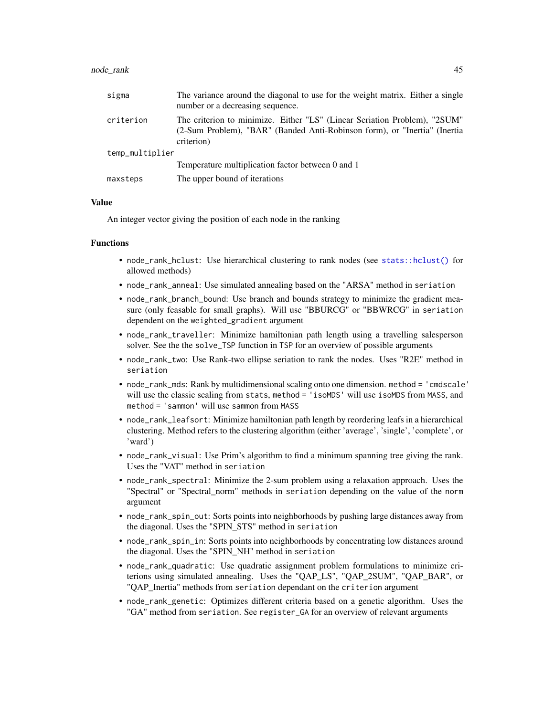<span id="page-44-0"></span>

| sigma           | The variance around the diagonal to use for the weight matrix. Either a single<br>number or a decreasing sequence.                                                   |
|-----------------|----------------------------------------------------------------------------------------------------------------------------------------------------------------------|
| criterion       | The criterion to minimize. Either "LS" (Linear Seriation Problem), "2SUM"<br>(2-Sum Problem), "BAR" (Banded Anti-Robinson form), or "Inertia" (Inertia<br>criterion) |
| temp_multiplier |                                                                                                                                                                      |
|                 | Temperature multiplication factor between 0 and 1                                                                                                                    |
| maxsteps        | The upper bound of iterations                                                                                                                                        |

#### Value

An integer vector giving the position of each node in the ranking

#### Functions

- node\_rank\_hclust: Use hierarchical clustering to rank nodes (see [stats::hclust\(\)](#page-0-0) for allowed methods)
- node\_rank\_anneal: Use simulated annealing based on the "ARSA" method in seriation
- node\_rank\_branch\_bound: Use branch and bounds strategy to minimize the gradient measure (only feasable for small graphs). Will use "BBURCG" or "BBWRCG" in seriation dependent on the weighted\_gradient argument
- node\_rank\_traveller: Minimize hamiltonian path length using a travelling salesperson solver. See the the solve\_TSP function in TSP for an overview of possible arguments
- node\_rank\_two: Use Rank-two ellipse seriation to rank the nodes. Uses "R2E" method in seriation
- node\_rank\_mds: Rank by multidimensional scaling onto one dimension. method = 'cmdscale' will use the classic scaling from stats, method = 'isoMDS' will use isoMDS from MASS, and method = 'sammon' will use sammon from MASS
- node\_rank\_leafsort: Minimize hamiltonian path length by reordering leafs in a hierarchical clustering. Method refers to the clustering algorithm (either 'average', 'single', 'complete', or 'ward')
- node\_rank\_visual: Use Prim's algorithm to find a minimum spanning tree giving the rank. Uses the "VAT" method in seriation
- node\_rank\_spectral: Minimize the 2-sum problem using a relaxation approach. Uses the "Spectral" or "Spectral\_norm" methods in seriation depending on the value of the norm argument
- node\_rank\_spin\_out: Sorts points into neighborhoods by pushing large distances away from the diagonal. Uses the "SPIN\_STS" method in seriation
- node\_rank\_spin\_in: Sorts points into neighborhoods by concentrating low distances around the diagonal. Uses the "SPIN\_NH" method in seriation
- node\_rank\_quadratic: Use quadratic assignment problem formulations to minimize criterions using simulated annealing. Uses the "QAP\_LS", "QAP\_2SUM", "QAP\_BAR", or "QAP\_Inertia" methods from seriation dependant on the criterion argument
- node\_rank\_genetic: Optimizes different criteria based on a genetic algorithm. Uses the "GA" method from seriation. See register\_GA for an overview of relevant arguments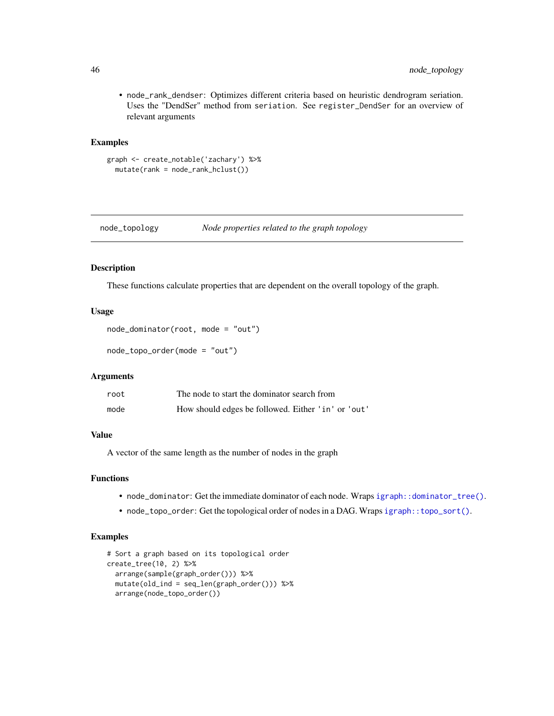• node\_rank\_dendser: Optimizes different criteria based on heuristic dendrogram seriation. Uses the "DendSer" method from seriation. See register\_DendSer for an overview of relevant arguments

# Examples

```
graph <- create_notable('zachary') %>%
 mutate(rank = node_rank_hclust())
```
node\_topology *Node properties related to the graph topology*

# Description

These functions calculate properties that are dependent on the overall topology of the graph.

## Usage

```
node_dominator(root, mode = "out")
```

```
node_topo_order(mode = "out")
```
#### Arguments

| root | The node to start the dominator search from        |
|------|----------------------------------------------------|
| mode | How should edges be followed. Either 'in' or 'out' |

# Value

A vector of the same length as the number of nodes in the graph

# Functions

- node\_dominator: Get the immediate dominator of each node. Wraps [igraph::dominator\\_tree\(\)](#page-0-0).
- node\_topo\_order: Get the topological order of nodes in a DAG. Wraps igraph:: topo\_sort().

# Examples

```
# Sort a graph based on its topological order
create_tree(10, 2) %>%
  arrange(sample(graph_order())) %>%
  mutate(old_ind = seq_len(graph_order())) %>%
  arrange(node_topo_order())
```
<span id="page-45-0"></span>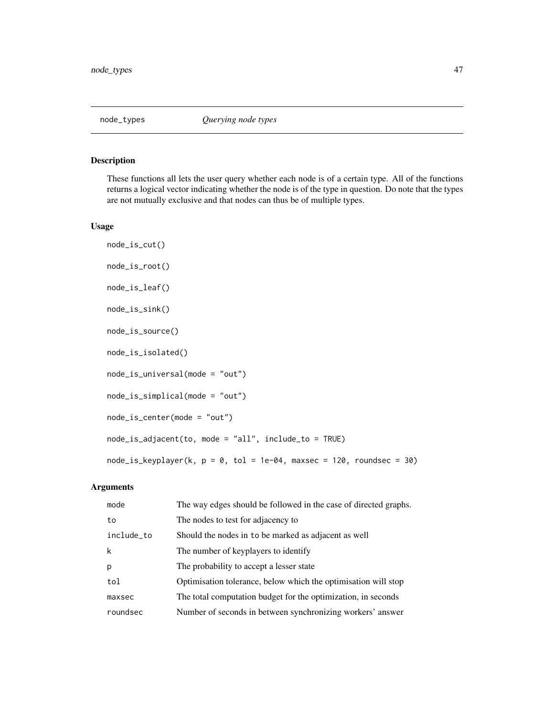<span id="page-46-0"></span>

### Description

These functions all lets the user query whether each node is of a certain type. All of the functions returns a logical vector indicating whether the node is of the type in question. Do note that the types are not mutually exclusive and that nodes can thus be of multiple types.

#### Usage

```
node_is_cut()
node_is_root()
node_is_leaf()
node_is_sink()
node_is_source()
node_is_isolated()
node_is_universal(mode = "out")
node_is_simplical(mode = "out")
node_is_center(mode = "out")
node_is_adjacent(to, mode = "all", include_to = TRUE)
node_is\_keyplayer(k, p = 0, tol = 1e-04, maxsec = 120, roundsec = 30)
```
# Arguments

| mode       | The way edges should be followed in the case of directed graphs. |
|------------|------------------------------------------------------------------|
| to         | The nodes to test for adjacency to                               |
| include_to | Should the nodes in to be marked as adjacent as well             |
| k          | The number of keyplayers to identify                             |
| p          | The probability to accept a lesser state                         |
| tol        | Optimisation tolerance, below which the optimisation will stop   |
| maxsec     | The total computation budget for the optimization, in seconds    |
| roundsec   | Number of seconds in between synchronizing workers' answer       |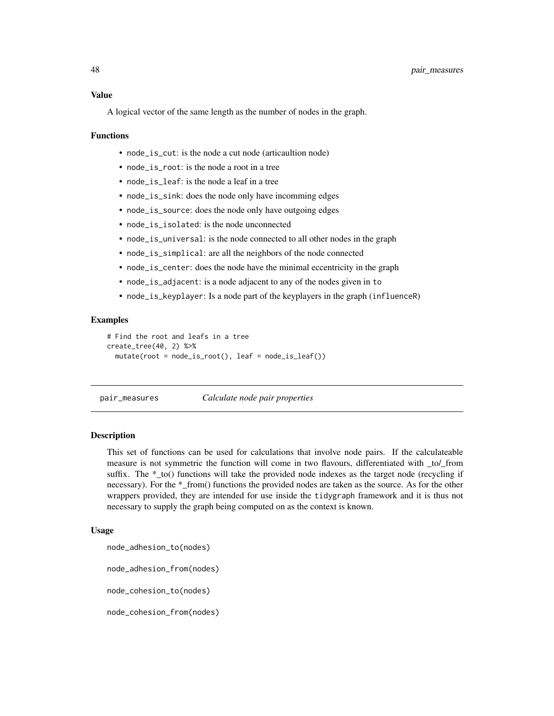#### <span id="page-47-0"></span>Value

A logical vector of the same length as the number of nodes in the graph.

#### Functions

- node\_is\_cut: is the node a cut node (articaultion node)
- node\_is\_root: is the node a root in a tree
- node is leaf: is the node a leaf in a tree
- node\_is\_sink: does the node only have incomming edges
- node\_is\_source: does the node only have outgoing edges
- node\_is\_isolated: is the node unconnected
- node\_is\_universal: is the node connected to all other nodes in the graph
- node\_is\_simplical: are all the neighbors of the node connected
- node\_is\_center: does the node have the minimal eccentricity in the graph
- node\_is\_adjacent: is a node adjacent to any of the nodes given in to
- node\_is\_keyplayer: Is a node part of the keyplayers in the graph (influenceR)

#### Examples

```
# Find the root and leafs in a tree
create_tree(40, 2) %>%
 mutate(root = node_is_root(), leaf = node_is_leaf())
```
pair\_measures *Calculate node pair properties*

# Description

This set of functions can be used for calculations that involve node pairs. If the calculateable measure is not symmetric the function will come in two flavours, differentiated with \_to/\_from suffix. The \*\_to() functions will take the provided node indexes as the target node (recycling if necessary). For the \* from() functions the provided nodes are taken as the source. As for the other wrappers provided, they are intended for use inside the tidygraph framework and it is thus not necessary to supply the graph being computed on as the context is known.

#### Usage

```
node_adhesion_to(nodes)
```
node\_adhesion\_from(nodes)

node\_cohesion\_to(nodes)

node\_cohesion\_from(nodes)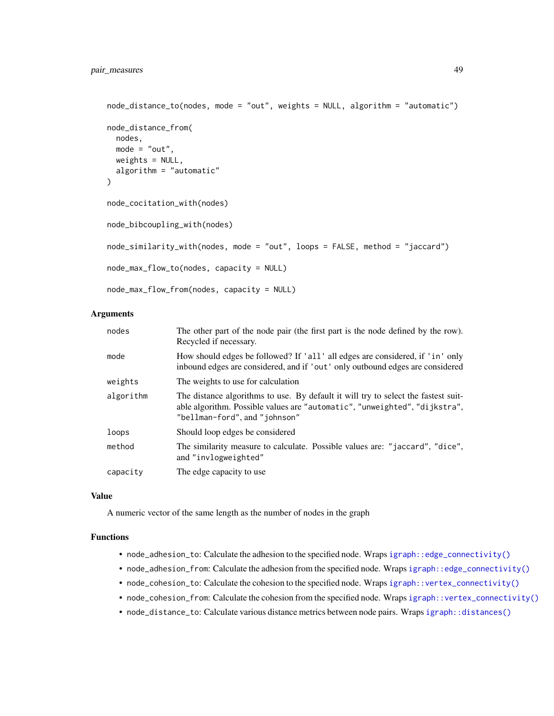```
node_distance_to(nodes, mode = "out", weights = NULL, algorithm = "automatic")
node_distance_from(
  nodes,
 mode = "out",weights = NULL,algorithm = "automatic"
\lambdanode_cocitation_with(nodes)
node_bibcoupling_with(nodes)
node_similarity_with(nodes, mode = "out", loops = FALSE, method = "jaccard")
node_max_flow_to(nodes, capacity = NULL)
node_max_flow_from(nodes, capacity = NULL)
```
# Arguments

| nodes     | The other part of the node pair (the first part is the node defined by the row).<br>Recycled if necessary.                                                                                        |
|-----------|---------------------------------------------------------------------------------------------------------------------------------------------------------------------------------------------------|
| mode      | How should edges be followed? If 'all' all edges are considered, if 'in' only<br>inbound edges are considered, and if 'out' only outbound edges are considered                                    |
| weights   | The weights to use for calculation                                                                                                                                                                |
| algorithm | The distance algorithms to use. By default it will try to select the fastest suit-<br>able algorithm. Possible values are "automatic", "unweighted", "dijkstra",<br>"bellman-ford", and "johnson" |
| loops     | Should loop edges be considered                                                                                                                                                                   |
| method    | The similarity measure to calculate. Possible values are: "jaccard", "dice",<br>and "invlogweighted"                                                                                              |
| capacity  | The edge capacity to use.                                                                                                                                                                         |

#### Value

A numeric vector of the same length as the number of nodes in the graph

# Functions

- node\_adhesion\_to: Calculate the adhesion to the specified node. Wraps [igraph::edge\\_connectivity\(\)](#page-0-0)
- node\_adhesion\_from: Calculate the adhesion from the specified node. Wraps [igraph::edge\\_connectivity\(\)](#page-0-0)
- node\_cohesion\_to: Calculate the cohesion to the specified node. Wraps [igraph::vertex\\_connectivity\(\)](#page-0-0)
- node\_cohesion\_from: Calculate the cohesion from the specified node. Wraps [igraph::vertex\\_connectivity\(\)](#page-0-0)
- node\_distance\_to: Calculate various distance metrics between node pairs. Wraps [igraph::distances\(\)](#page-0-0)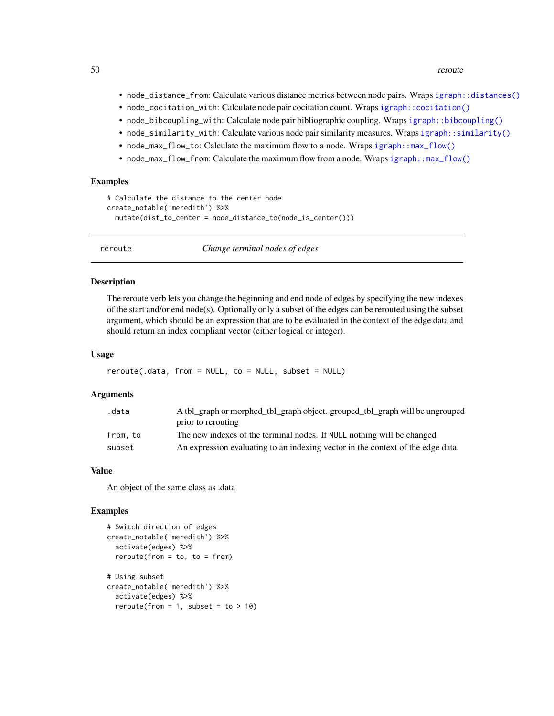<span id="page-49-0"></span>50 reroute and the set of the set of the set of the set of the set of the set of the set of the set of the set of the set of the set of the set of the set of the set of the set of the set of the set of the set of the set o

- node\_distance\_from: Calculate various distance metrics between node pairs. Wraps [igraph::distances\(\)](#page-0-0)
- node\_cocitation\_with: Calculate node pair cocitation count. Wraps igraph:: cocitation()
- node\_bibcoupling\_with: Calculate node pair bibliographic coupling. Wraps [igraph::bibcoupling\(\)](#page-0-0)
- node\_similarity\_with: Calculate various node pair similarity measures. Wraps [igraph::similarity\(\)](#page-0-0)
- node\_max\_flow\_to: Calculate the maximum flow to a node. Wraps [igraph::max\\_flow\(\)](#page-0-0)
- node\_max\_flow\_from: Calculate the maximum flow from a node. Wraps [igraph::max\\_flow\(\)](#page-0-0)

#### Examples

```
# Calculate the distance to the center node
create_notable('meredith') %>%
 mutate(dist_to_center = node_distance_to(node_is_center()))
```
reroute *Change terminal nodes of edges*

#### **Description**

The reroute verb lets you change the beginning and end node of edges by specifying the new indexes of the start and/or end node(s). Optionally only a subset of the edges can be rerouted using the subset argument, which should be an expression that are to be evaluated in the context of the edge data and should return an index compliant vector (either logical or integer).

#### Usage

```
reroute(.data, from = NULL, to = NULL, subset = NULL)
```
#### Arguments

| .data   | A tbl_graph or morphed_tbl_graph object. grouped_tbl_graph will be ungrouped    |
|---------|---------------------------------------------------------------------------------|
|         | prior to rerouting                                                              |
| from.to | The new indexes of the terminal nodes. If NULL nothing will be changed          |
| subset  | An expression evaluating to an indexing vector in the context of the edge data. |

#### Value

An object of the same class as .data

#### Examples

```
# Switch direction of edges
create_notable('meredith') %>%
 activate(edges) %>%
 reroute(from = to, to = from)
# Using subset
create_notable('meredith') %>%
 activate(edges) %>%
 reroute(from = 1, subset = to > 10)
```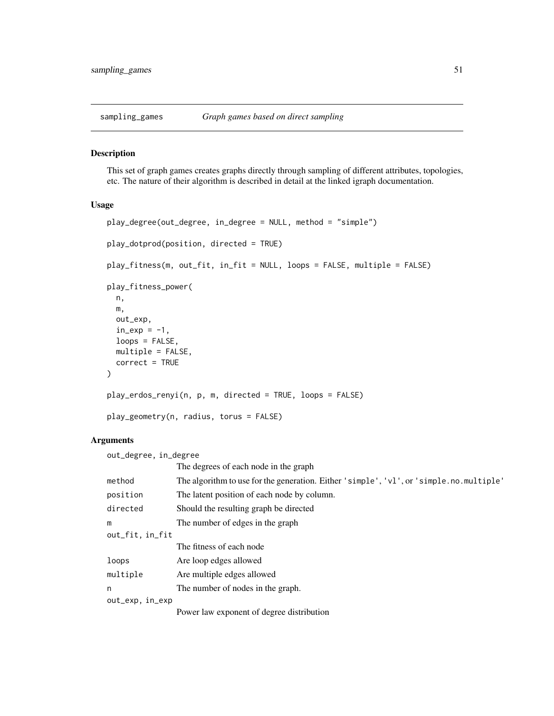<span id="page-50-1"></span><span id="page-50-0"></span>

# Description

This set of graph games creates graphs directly through sampling of different attributes, topologies, etc. The nature of their algorithm is described in detail at the linked igraph documentation.

#### Usage

```
play_degree(out_degree, in_degree = NULL, method = "simple")
play_dotprod(position, directed = TRUE)
play_fitness(m, out_fit, in_fit = NULL, loops = FALSE, multiple = FALSE)
play_fitness_power(
 n,
 m,
 out_exp,
 in\_exp = -1,
 loops = FALSE,
 multiple = FALSE,
  correct = TRUE
\mathcal{L}play_erdos_renyi(n, p, m, directed = TRUE, loops = FALSE)
play_geometry(n, radius, torus = FALSE)
```
#### Arguments

| out_degree, in_degree |                                                                                             |  |
|-----------------------|---------------------------------------------------------------------------------------------|--|
|                       | The degrees of each node in the graph                                                       |  |
| method                | The algorithm to use for the generation. Either 'simple', ' $vl'$ , or 'simple.no.multiple' |  |
| position              | The latent position of each node by column.                                                 |  |
| directed              | Should the resulting graph be directed                                                      |  |
| m                     | The number of edges in the graph                                                            |  |
| out_fit, in_fit       |                                                                                             |  |
|                       | The fitness of each node                                                                    |  |
| loops                 | Are loop edges allowed                                                                      |  |
| multiple              | Are multiple edges allowed                                                                  |  |
| n                     | The number of nodes in the graph.                                                           |  |
| out_exp, in_exp       |                                                                                             |  |
|                       | Power law exponent of degree distribution                                                   |  |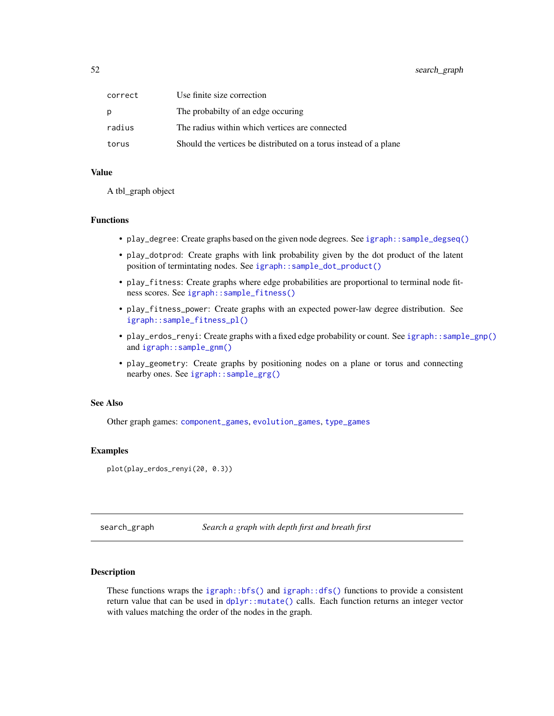<span id="page-51-0"></span>

| correct | Use finite size correction                                       |
|---------|------------------------------------------------------------------|
| p       | The probabilty of an edge occuring                               |
| radius  | The radius within which vertices are connected                   |
| torus   | Should the vertices be distributed on a torus instead of a plane |

#### Value

A tbl\_graph object

#### Functions

- play\_degree: Create graphs based on the given node degrees. See [igraph::sample\\_degseq\(\)](#page-0-0)
- play\_dotprod: Create graphs with link probability given by the dot product of the latent position of termintating nodes. See [igraph::sample\\_dot\\_product\(\)](#page-0-0)
- play\_fitness: Create graphs where edge probabilities are proportional to terminal node fitness scores. See [igraph::sample\\_fitness\(\)](#page-0-0)
- play\_fitness\_power: Create graphs with an expected power-law degree distribution. See [igraph::sample\\_fitness\\_pl\(\)](#page-0-0)
- play\_erdos\_renyi: Create graphs with a fixed edge probability or count. See [igraph::sample\\_gnp\(\)](#page-0-0) and [igraph::sample\\_gnm\(\)](#page-0-0)
- play\_geometry: Create graphs by positioning nodes on a plane or torus and connecting nearby ones. See [igraph::sample\\_grg\(\)](#page-0-0)

#### See Also

Other graph games: [component\\_games](#page-11-1), [evolution\\_games](#page-16-1), [type\\_games](#page-53-1)

#### Examples

plot(play\_erdos\_renyi(20, 0.3))

search\_graph *Search a graph with depth first and breath first*

# Description

These functions wraps the  $igraph::bfs()$  and  $igraph::dfs()$  functions to provide a consistent return value that can be used in dplyr:: mutate() calls. Each function returns an integer vector with values matching the order of the nodes in the graph.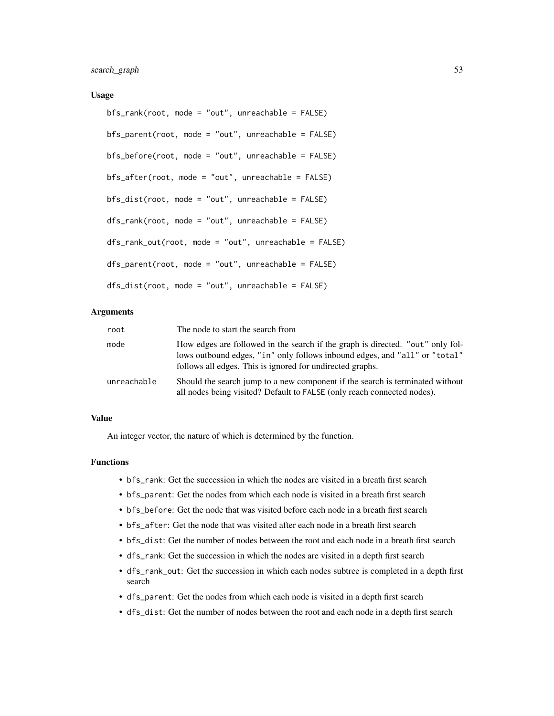#### Usage

```
bfs_rank(root, mode = "out", unreachable = FALSE)
bfs_parent(root, mode = "out", unreachable = FALSE)
bfs_before(root, mode = "out", unreachable = FALSE)
bfs_after(root, mode = "out", unreachable = FALSE)
bfs_dist(root, mode = "out", unreachable = FALSE)
dfs_rank(root, mode = "out", unreachable = FALSE)
dfs_rank_out(root, mode = "out", unreachable = FALSE)
dfs_parent(root, mode = "out", unreachable = FALSE)
dfs_dist(root, mode = "out", unreachable = FALSE)
```
# Arguments

| root        | The node to start the search from                                                                                                                                                                                         |
|-------------|---------------------------------------------------------------------------------------------------------------------------------------------------------------------------------------------------------------------------|
| mode        | How edges are followed in the search if the graph is directed. "out" only fol-<br>lows outbound edges, "in" only follows inbound edges, and "all" or "total"<br>follows all edges. This is ignored for undirected graphs. |
| unreachable | Should the search jump to a new component if the search is terminated without<br>all nodes being visited? Default to FALSE (only reach connected nodes).                                                                  |

# Value

An integer vector, the nature of which is determined by the function.

# Functions

- bfs\_rank: Get the succession in which the nodes are visited in a breath first search
- bfs\_parent: Get the nodes from which each node is visited in a breath first search
- bfs\_before: Get the node that was visited before each node in a breath first search
- bfs\_after: Get the node that was visited after each node in a breath first search
- bfs\_dist: Get the number of nodes between the root and each node in a breath first search
- dfs\_rank: Get the succession in which the nodes are visited in a depth first search
- dfs\_rank\_out: Get the succession in which each nodes subtree is completed in a depth first search
- dfs\_parent: Get the nodes from which each node is visited in a depth first search
- dfs\_dist: Get the number of nodes between the root and each node in a depth first search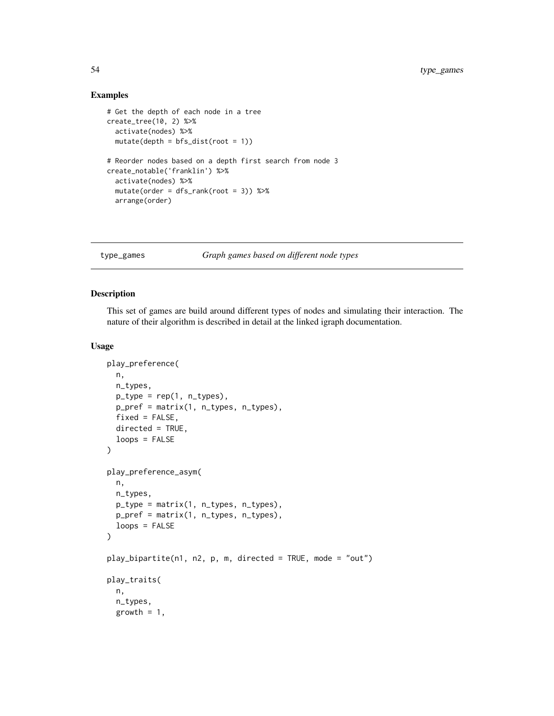# Examples

```
# Get the depth of each node in a tree
create_tree(10, 2) %>%
  activate(nodes) %>%
  mutate(depth = bfs_dist(root = 1))
# Reorder nodes based on a depth first search from node 3
create_notable('franklin') %>%
  activate(nodes) %>%
  mutate(order = dfs\_rank(root = 3)) %>%
  arrange(order)
```
#### <span id="page-53-1"></span>type\_games *Graph games based on different node types*

# <span id="page-53-2"></span>Description

This set of games are build around different types of nodes and simulating their interaction. The nature of their algorithm is described in detail at the linked igraph documentation.

#### Usage

```
play_preference(
  n,
 n_types,
 p_type = rep(1, n_types),
  p_pref = matrix(1, n_types, n_types),
  fixed = FALSE,directed = TRUE,
  loops = FALSE
)
play_preference_asym(
 n,
 n_types,
 p_type = matrix(1, n_types, n_types),
 p_pref = matrix(1, n_types, n_types),
  loops = FALSE
)
play_bipartite(n1, n2, p, m, directed = TRUE, mode = "out")
play_traits(
  n,
  n_types,
  growth = 1,
```
<span id="page-53-0"></span>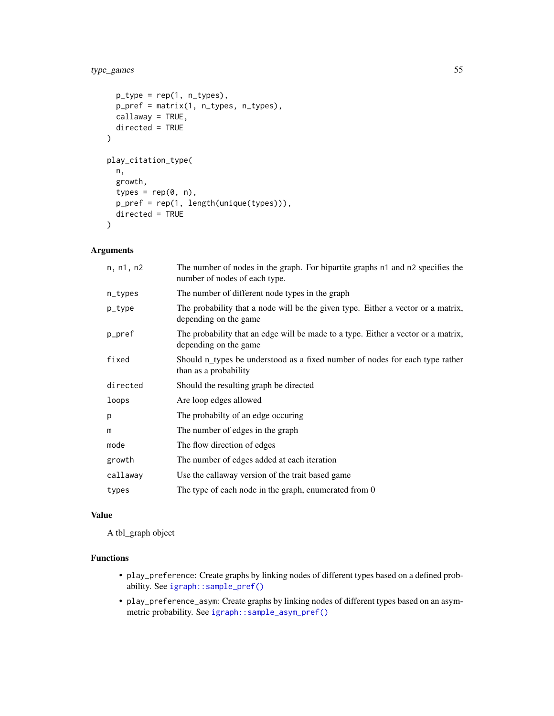# <span id="page-54-0"></span>type\_games 55

```
p_typ = rep(1, n_typ),
 p_pref = matrix(1, n_types, n_types),
 callaway = TRUE,
 directed = TRUE
\mathcal{L}play_citation_type(
 n,
 growth,
  types = rep(\emptyset, n),
 p_pref = rep(1, length(unique(types))),
 directed = TRUE
)
```
# Arguments

| n, n1, n2 | The number of nodes in the graph. For bipartite graphs n1 and n2 specifies the<br>number of nodes of each type. |
|-----------|-----------------------------------------------------------------------------------------------------------------|
| n_types   | The number of different node types in the graph                                                                 |
| p_type    | The probability that a node will be the given type. Either a vector or a matrix,<br>depending on the game       |
| p_pref    | The probability that an edge will be made to a type. Either a vector or a matrix,<br>depending on the game      |
| fixed     | Should n_types be understood as a fixed number of nodes for each type rather<br>than as a probability           |
| directed  | Should the resulting graph be directed                                                                          |
| loops     | Are loop edges allowed                                                                                          |
| p         | The probabilty of an edge occuring                                                                              |
| m         | The number of edges in the graph                                                                                |
| mode      | The flow direction of edges                                                                                     |
| growth    | The number of edges added at each iteration                                                                     |
| callaway  | Use the callaway version of the trait based game                                                                |
| types     | The type of each node in the graph, enumerated from 0                                                           |

# Value

A tbl\_graph object

# Functions

- play\_preference: Create graphs by linking nodes of different types based on a defined probability. See [igraph::sample\\_pref\(\)](#page-0-0)
- play\_preference\_asym: Create graphs by linking nodes of different types based on an asymmetric probability. See [igraph::sample\\_asym\\_pref\(\)](#page-0-0)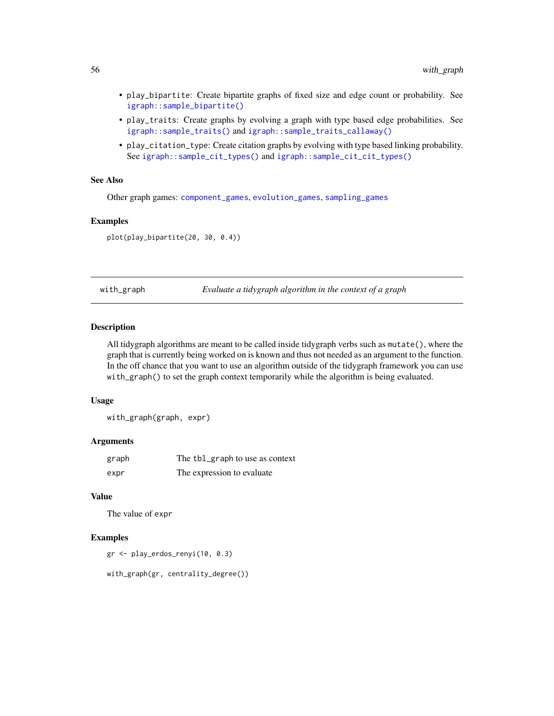- <span id="page-55-0"></span>• play\_bipartite: Create bipartite graphs of fixed size and edge count or probability. See [igraph::sample\\_bipartite\(\)](#page-0-0)
- play\_traits: Create graphs by evolving a graph with type based edge probabilities. See [igraph::sample\\_traits\(\)](#page-0-0) and [igraph::sample\\_traits\\_callaway\(\)](#page-0-0)
- play\_citation\_type: Create citation graphs by evolving with type based linking probability. See [igraph::sample\\_cit\\_types\(\)](#page-0-0) and [igraph::sample\\_cit\\_cit\\_types\(\)](#page-0-0)

# See Also

Other graph games: [component\\_games](#page-11-1), [evolution\\_games](#page-16-1), [sampling\\_games](#page-50-1)

#### Examples

plot(play\_bipartite(20, 30, 0.4))

with\_graph *Evaluate a tidygraph algorithm in the context of a graph*

# **Description**

All tidygraph algorithms are meant to be called inside tidygraph verbs such as mutate(), where the graph that is currently being worked on is known and thus not needed as an argument to the function. In the off chance that you want to use an algorithm outside of the tidygraph framework you can use with\_graph() to set the graph context temporarily while the algorithm is being evaluated.

#### Usage

with\_graph(graph, expr)

#### Arguments

| graph | The tbl_graph to use as context |
|-------|---------------------------------|
| expr  | The expression to evaluate      |

# Value

The value of expr

# Examples

gr <- play\_erdos\_renyi(10, 0.3)

with\_graph(gr, centrality\_degree())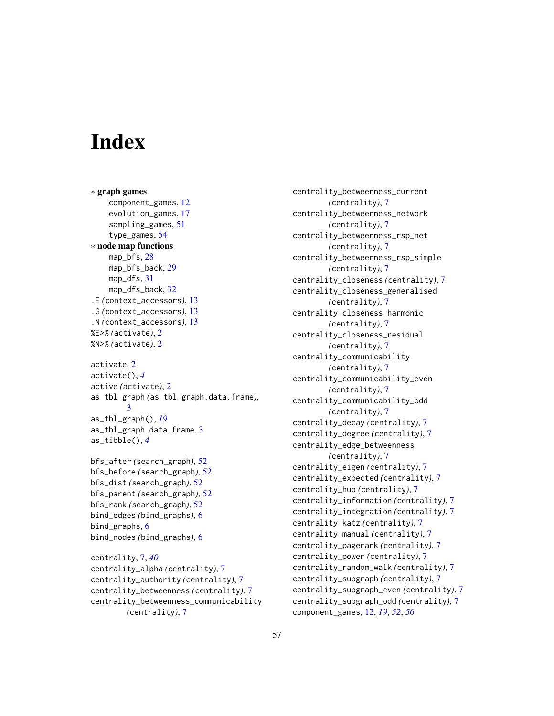# <span id="page-56-0"></span>**Index**

∗ graph games component\_games, [12](#page-11-0) evolution\_games, [17](#page-16-0) sampling\_games, [51](#page-50-0) type\_games, [54](#page-53-0) ∗ node map functions map\_bfs, [28](#page-27-0) map\_bfs\_back, [29](#page-28-0) map\_dfs, [31](#page-30-0) map\_dfs\_back, [32](#page-31-0) .E *(*context\_accessors*)*, [13](#page-12-0) .G *(*context\_accessors*)*, [13](#page-12-0) .N *(*context\_accessors*)*, [13](#page-12-0) %E>% *(*activate*)*, [2](#page-1-0) %N>% *(*activate*)*, [2](#page-1-0) activate, [2](#page-1-0) activate(), *[4](#page-3-0)* active *(*activate*)*, [2](#page-1-0)

as\_tbl\_graph *(*as\_tbl\_graph.data.frame*)*, [3](#page-2-0) as\_tbl\_graph(), *[19](#page-18-0)* as\_tbl\_graph.data.frame, [3](#page-2-0) as\_tibble(), *[4](#page-3-0)*

bfs\_after *(*search\_graph*)*, [52](#page-51-0) bfs\_before *(*search\_graph*)*, [52](#page-51-0) bfs\_dist *(*search\_graph*)*, [52](#page-51-0) bfs\_parent *(*search\_graph*)*, [52](#page-51-0) bfs\_rank *(*search\_graph*)*, [52](#page-51-0) bind\_edges *(*bind\_graphs*)*, [6](#page-5-0) bind\_graphs, [6](#page-5-0) bind\_nodes *(*bind\_graphs*)*, [6](#page-5-0)

centrality, [7,](#page-6-0) *[40](#page-39-0)* centrality\_alpha *(*centrality*)*, [7](#page-6-0) centrality\_authority *(*centrality*)*, [7](#page-6-0) centrality\_betweenness *(*centrality*)*, [7](#page-6-0) centrality\_betweenness\_communicability *(*centrality*)*, [7](#page-6-0)

centrality\_betweenness\_current *(*centrality*)*, [7](#page-6-0) centrality\_betweenness\_network *(*centrality*)*, [7](#page-6-0) centrality\_betweenness\_rsp\_net *(*centrality*)*, [7](#page-6-0) centrality\_betweenness\_rsp\_simple *(*centrality*)*, [7](#page-6-0) centrality\_closeness *(*centrality*)*, [7](#page-6-0) centrality\_closeness\_generalised *(*centrality*)*, [7](#page-6-0) centrality\_closeness\_harmonic *(*centrality*)*, [7](#page-6-0) centrality\_closeness\_residual *(*centrality*)*, [7](#page-6-0) centrality\_communicability *(*centrality*)*, [7](#page-6-0) centrality\_communicability\_even *(*centrality*)*, [7](#page-6-0) centrality\_communicability\_odd *(*centrality*)*, [7](#page-6-0) centrality\_decay *(*centrality*)*, [7](#page-6-0) centrality\_degree *(*centrality*)*, [7](#page-6-0) centrality\_edge\_betweenness *(*centrality*)*, [7](#page-6-0) centrality\_eigen *(*centrality*)*, [7](#page-6-0) centrality\_expected *(*centrality*)*, [7](#page-6-0) centrality\_hub *(*centrality*)*, [7](#page-6-0) centrality\_information *(*centrality*)*, [7](#page-6-0) centrality\_integration *(*centrality*)*, [7](#page-6-0) centrality\_katz *(*centrality*)*, [7](#page-6-0) centrality\_manual *(*centrality*)*, [7](#page-6-0) centrality\_pagerank *(*centrality*)*, [7](#page-6-0) centrality\_power *(*centrality*)*, [7](#page-6-0) centrality\_random\_walk *(*centrality*)*, [7](#page-6-0) centrality\_subgraph *(*centrality*)*, [7](#page-6-0) centrality\_subgraph\_even *(*centrality*)*, [7](#page-6-0) centrality\_subgraph\_odd *(*centrality*)*, [7](#page-6-0) component\_games, [12,](#page-11-0) *[19](#page-18-0)*, *[52](#page-51-0)*, *[56](#page-55-0)*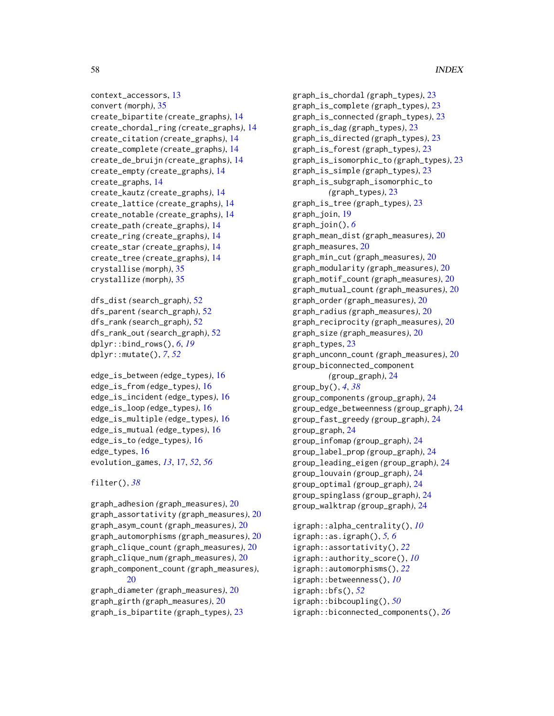```
context_accessors, 13
convert (morph), 35
create_bipartite (create_graphs), 14
create_chordal_ring (create_graphs), 14
create_citation (create_graphs), 14
create_complete (create_graphs), 14
create_de_bruijn (create_graphs), 14
create_empty (create_graphs), 14
create_graphs, 14
create_kautz (create_graphs), 14
create_lattice (create_graphs), 14
create_notable (create_graphs), 14
create_path (create_graphs), 14
create_ring (create_graphs), 14
create_star (create_graphs), 14
create_tree (create_graphs), 14
crystallise (morph), 35
crystallize (morph), 35
```

```
dfs_dist (search_graph), 52
dfs_parent (search_graph), 52
dfs_rank (search_graph), 52
dfs_rank_out (search_graph), 52
dplyr::bind_rows(), 6, 19
dplyr::mutate(), 7, 52
```

```
edge_is_between (edge_types), 16
edge_is_from (edge_types), 16
edge_is_incident (edge_types), 16
edge_is_loop (edge_types), 16
edge_is_multiple (edge_types), 16
edge_is_mutual (edge_types), 16
edge_is_to (edge_types), 16
edge_types, 16
evolution_games, 13, 17, 52, 56
```
# filter(), *[38](#page-37-0)*

```
graph_adhesion (graph_measures), 20
graph_assortativity (graph_measures), 20
graph_asym_count (graph_measures), 20
graph_automorphisms (graph_measures), 20
graph_clique_count (graph_measures), 20
graph_clique_num (graph_measures), 20
graph_component_count (graph_measures),
        20
```
graph\_diameter *(*graph\_measures*)*, [20](#page-19-0) graph\_girth *(*graph\_measures*)*, [20](#page-19-0) graph\_is\_bipartite *(*graph\_types*)*, [23](#page-22-0)

graph\_is\_chordal *(*graph\_types*)*, [23](#page-22-0) graph\_is\_complete *(*graph\_types*)*, [23](#page-22-0) graph\_is\_connected *(*graph\_types*)*, [23](#page-22-0) graph\_is\_dag *(*graph\_types*)*, [23](#page-22-0) graph\_is\_directed *(*graph\_types*)*, [23](#page-22-0) graph\_is\_forest *(*graph\_types*)*, [23](#page-22-0) graph\_is\_isomorphic\_to *(*graph\_types*)*, [23](#page-22-0) graph\_is\_simple *(*graph\_types*)*, [23](#page-22-0) graph\_is\_subgraph\_isomorphic\_to *(*graph\_types*)*, [23](#page-22-0) graph\_is\_tree *(*graph\_types*)*, [23](#page-22-0) graph\_join, [19](#page-18-0) graph\_join(), *[6](#page-5-0)* graph\_mean\_dist *(*graph\_measures*)*, [20](#page-19-0) graph\_measures, [20](#page-19-0) graph\_min\_cut *(*graph\_measures*)*, [20](#page-19-0) graph\_modularity *(*graph\_measures*)*, [20](#page-19-0) graph\_motif\_count *(*graph\_measures*)*, [20](#page-19-0) graph\_mutual\_count *(*graph\_measures*)*, [20](#page-19-0) graph\_order *(*graph\_measures*)*, [20](#page-19-0) graph\_radius *(*graph\_measures*)*, [20](#page-19-0) graph\_reciprocity *(*graph\_measures*)*, [20](#page-19-0) graph\_size *(*graph\_measures*)*, [20](#page-19-0) graph\_types, [23](#page-22-0) graph\_unconn\_count *(*graph\_measures*)*, [20](#page-19-0) group\_biconnected\_component *(*group\_graph*)*, [24](#page-23-0) group\_by(), *[4](#page-3-0)*, *[38](#page-37-0)* group\_components *(*group\_graph*)*, [24](#page-23-0) group\_edge\_betweenness *(*group\_graph*)*, [24](#page-23-0) group\_fast\_greedy *(*group\_graph*)*, [24](#page-23-0) group\_graph, [24](#page-23-0) group\_infomap *(*group\_graph*)*, [24](#page-23-0) group\_label\_prop *(*group\_graph*)*, [24](#page-23-0) group\_leading\_eigen *(*group\_graph*)*, [24](#page-23-0) group\_louvain *(*group\_graph*)*, [24](#page-23-0) group\_optimal *(*group\_graph*)*, [24](#page-23-0) group\_spinglass *(*group\_graph*)*, [24](#page-23-0) group\_walktrap *(*group\_graph*)*, [24](#page-23-0) igraph::alpha\_centrality(), *[10](#page-9-0)* igraph::as.igraph(), *[5,](#page-4-0) [6](#page-5-0)* igraph::assortativity(), *[22](#page-21-0)* igraph::authority\_score(), *[10](#page-9-0)* igraph::automorphisms(), *[22](#page-21-0)* igraph::betweenness(), *[10](#page-9-0)* igraph::bfs(), *[52](#page-51-0)*

igraph::bibcoupling(), *[50](#page-49-0)* igraph::biconnected\_components(), *[26](#page-25-0)*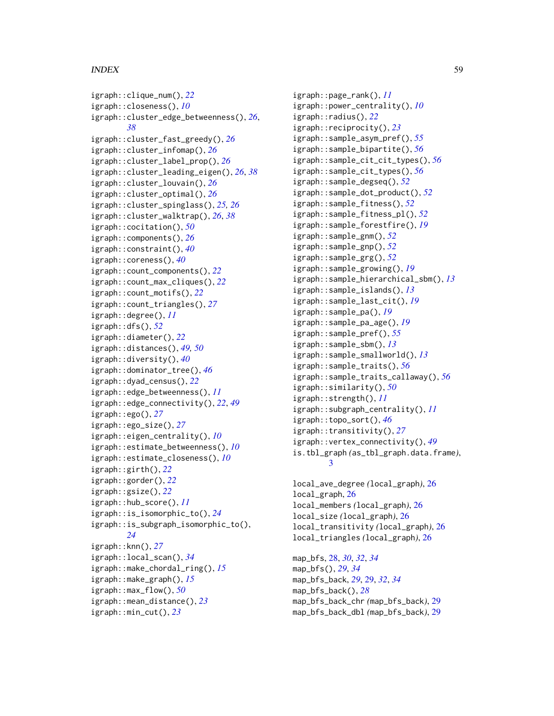# INDEX 59

```
igraph::clique_num(), 22
igraph::closeness(), 10
igraph::cluster_edge_betweenness(), 26,
        38
igraph::cluster_fast_greedy(), 26
igraph::cluster_infomap(), 26
igraph::cluster_label_prop(), 26
igraph::cluster_leading_eigen(), 26, 38
igraph::cluster_louvain(), 26
igraph::cluster_optimal(), 26
igraph::cluster_spinglass(), 25, 26
igraph::cluster_walktrap(), 26, 38
igraph::cocitation(), 50
igraph::components(), 26
igraph::constraint(), 40
igraph::coreness(), 40
igraph::count_components(), 22
igraph::count_max_cliques(), 22
igraph::count_motifs(), 22
igraph::count_triangles(), 27
igraph::degree(), 11
igraph::dfs(), 52
igraph::diameter(), 22
igraph::distances(), 49, 50
igraph::diversity(), 40
igraph::dominator_tree(), 46
igraph::dyad_census(), 22
igraph::edge_betweenness(), 11
igraph::edge_connectivity(), 22, 49
igraph::ego(), 27
igraph::ego_size(), 27
igraph::eigen_centrality(), 10
igraph::estimate_betweenness(), 10
igraph::estimate_closeness(), 10
igraph::girth(), 22
igraph::gorder(), 22
igraph::gsize(), 22
igraph::hub_score(), 11
igraph::is_isomorphic_to(), 24
igraph::is_subgraph_isomorphic_to(),
        24
igraph::knn(), 27
igraph::local_scan(), 34
igraph::make_chordal_ring(), 15
igraph::make_graph(), 15
igraph::max_flow(), 50
igraph::mean_distance(), 23
igraph::min_cut(), 23
```
igraph::page\_rank(), *[11](#page-10-0)* igraph::power\_centrality(), *[10](#page-9-0)* igraph::radius(), *[22](#page-21-0)* igraph::reciprocity(), *[23](#page-22-0)* igraph::sample\_asym\_pref(), *[55](#page-54-0)* igraph::sample\_bipartite(), *[56](#page-55-0)* igraph::sample\_cit\_cit\_types(), *[56](#page-55-0)* igraph::sample\_cit\_types(), *[56](#page-55-0)* igraph::sample\_degseq(), *[52](#page-51-0)* igraph::sample\_dot\_product(), *[52](#page-51-0)* igraph::sample\_fitness(), *[52](#page-51-0)* igraph::sample\_fitness\_pl(), *[52](#page-51-0)* igraph::sample\_forestfire(), *[19](#page-18-0)* igraph::sample\_gnm(), *[52](#page-51-0)* igraph::sample\_gnp(), *[52](#page-51-0)* igraph::sample\_grg(), *[52](#page-51-0)* igraph::sample\_growing(), *[19](#page-18-0)* igraph::sample\_hierarchical\_sbm(), *[13](#page-12-0)* igraph::sample\_islands(), *[13](#page-12-0)* igraph::sample\_last\_cit(), *[19](#page-18-0)* igraph::sample\_pa(), *[19](#page-18-0)* igraph::sample\_pa\_age(), *[19](#page-18-0)* igraph::sample\_pref(), *[55](#page-54-0)* igraph::sample\_sbm(), *[13](#page-12-0)* igraph::sample\_smallworld(), *[13](#page-12-0)* igraph::sample\_traits(), *[56](#page-55-0)* igraph::sample\_traits\_callaway(), *[56](#page-55-0)* igraph::similarity(), *[50](#page-49-0)* igraph::strength(), *[11](#page-10-0)* igraph::subgraph\_centrality(), *[11](#page-10-0)* igraph::topo\_sort(), *[46](#page-45-0)* igraph::transitivity(), *[27](#page-26-0)* igraph::vertex\_connectivity(), *[49](#page-48-0)* is.tbl\_graph *(*as\_tbl\_graph.data.frame*)*, [3](#page-2-0) local\_ave\_degree *(*local\_graph*)*, [26](#page-25-0)

local\_graph, [26](#page-25-0) local\_members *(*local\_graph*)*, [26](#page-25-0) local\_size *(*local\_graph*)*, [26](#page-25-0) local\_transitivity *(*local\_graph*)*, [26](#page-25-0) local\_triangles *(*local\_graph*)*, [26](#page-25-0)

map\_bfs, [28,](#page-27-0) *[30](#page-29-0)*, *[32](#page-31-0)*, *[34](#page-33-0)* map\_bfs(), *[29](#page-28-0)*, *[34](#page-33-0)* map\_bfs\_back, *[29](#page-28-0)*, [29,](#page-28-0) *[32](#page-31-0)*, *[34](#page-33-0)* map\_bfs\_back(), *[28](#page-27-0)* map\_bfs\_back\_chr *(*map\_bfs\_back*)*, [29](#page-28-0) map\_bfs\_back\_dbl *(*map\_bfs\_back*)*, [29](#page-28-0)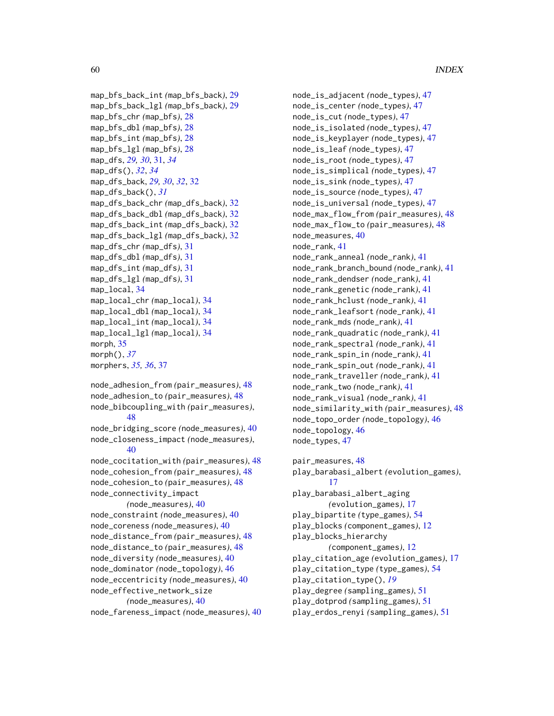```
map_bfs_back_int (map_bfs_back), 29
map_bfs_back_lgl (map_bfs_back), 29
map_bfs_chr (map_bfs), 28
map_bfs_dbl (map_bfs), 28
map_bfs_int (map_bfs), 28
map_bfs_lgl (map_bfs), 28
map_dfs, 29, 30, 31, 34
map_dfs(), 32, 34
map_dfs_back, 29, 30, 32, 32
map_dfs_back(), 31
map_dfs_back_chr (map_dfs_back), 32
map_dfs_back_dbl (map_dfs_back), 32
map_dfs_back_int (map_dfs_back), 32
map_dfs_back_lgl (map_dfs_back), 32
map_dfs_chr (map_dfs), 31
map_dfs_dbl (map_dfs), 31
map_dfs_int (map_dfs), 31
map_dfs_lgl (map_dfs), 31
map_local, 34
map_local_chr (map_local), 34
map_local_dbl (map_local), 34
map_local_int (map_local), 34
map_local_lgl (map_local), 34
morph, 35
morph(), 37
morphers, 35, 36, 37
node_adhesion_from (pair_measures), 48
node_adhesion_to (pair_measures), 48
node_bibcoupling_with (pair_measures),
        48
```

```
node_bridging_score (node_measures), 40
node_closeness_impact (node_measures),
        40
```

```
node_cocitation_with (pair_measures), 48
node_cohesion_from (pair_measures), 48
node_cohesion_to (pair_measures), 48
node_connectivity_impact
        (node_measures), 40
node_constraint (node_measures), 40
```
node\_coreness *(*node\_measures*)*, [40](#page-39-0) node\_distance\_from *(*pair\_measures*)*, [48](#page-47-0) node\_distance\_to *(*pair\_measures*)*, [48](#page-47-0) node\_diversity *(*node\_measures*)*, [40](#page-39-0) node\_dominator *(*node\_topology*)*, [46](#page-45-0) node\_eccentricity *(*node\_measures*)*, [40](#page-39-0) node\_effective\_network\_size *(*node\_measures*)*, [40](#page-39-0) node\_fareness\_impact *(*node\_measures*)*, [40](#page-39-0)

node\_is\_adjacent *(*node\_types*)*, [47](#page-46-0) node\_is\_center *(*node\_types*)*, [47](#page-46-0) node\_is\_cut *(*node\_types*)*, [47](#page-46-0) node\_is\_isolated *(*node\_types*)*, [47](#page-46-0) node\_is\_keyplayer *(*node\_types*)*, [47](#page-46-0) node\_is\_leaf *(*node\_types*)*, [47](#page-46-0) node\_is\_root *(*node\_types*)*, [47](#page-46-0) node\_is\_simplical *(*node\_types*)*, [47](#page-46-0) node\_is\_sink *(*node\_types*)*, [47](#page-46-0) node\_is\_source *(*node\_types*)*, [47](#page-46-0) node\_is\_universal *(*node\_types*)*, [47](#page-46-0) node\_max\_flow\_from *(*pair\_measures*)*, [48](#page-47-0) node\_max\_flow\_to *(*pair\_measures*)*, [48](#page-47-0) node\_measures, [40](#page-39-0) node\_rank, [41](#page-40-0) node\_rank\_anneal *(*node\_rank*)*, [41](#page-40-0) node\_rank\_branch\_bound *(*node\_rank*)*, [41](#page-40-0) node\_rank\_dendser *(*node\_rank*)*, [41](#page-40-0) node\_rank\_genetic *(*node\_rank*)*, [41](#page-40-0) node\_rank\_hclust *(*node\_rank*)*, [41](#page-40-0) node\_rank\_leafsort *(*node\_rank*)*, [41](#page-40-0) node\_rank\_mds *(*node\_rank*)*, [41](#page-40-0) node\_rank\_quadratic *(*node\_rank*)*, [41](#page-40-0) node\_rank\_spectral *(*node\_rank*)*, [41](#page-40-0) node\_rank\_spin\_in *(*node\_rank*)*, [41](#page-40-0) node\_rank\_spin\_out *(*node\_rank*)*, [41](#page-40-0) node\_rank\_traveller *(*node\_rank*)*, [41](#page-40-0) node\_rank\_two *(*node\_rank*)*, [41](#page-40-0) node\_rank\_visual *(*node\_rank*)*, [41](#page-40-0) node\_similarity\_with *(*pair\_measures*)*, [48](#page-47-0) node\_topo\_order *(*node\_topology*)*, [46](#page-45-0) node\_topology, [46](#page-45-0) node\_types, [47](#page-46-0)

pair\_measures, [48](#page-47-0) play\_barabasi\_albert *(*evolution\_games*)*, [17](#page-16-0) play\_barabasi\_albert\_aging *(*evolution\_games*)*, [17](#page-16-0) play\_bipartite *(*type\_games*)*, [54](#page-53-0) play\_blocks *(*component\_games*)*, [12](#page-11-0) play\_blocks\_hierarchy *(*component\_games*)*, [12](#page-11-0) play\_citation\_age *(*evolution\_games*)*, [17](#page-16-0) play\_citation\_type *(*type\_games*)*, [54](#page-53-0) play\_citation\_type(), *[19](#page-18-0)* play\_degree *(*sampling\_games*)*, [51](#page-50-0) play\_dotprod *(*sampling\_games*)*, [51](#page-50-0) play\_erdos\_renyi *(*sampling\_games*)*, [51](#page-50-0)